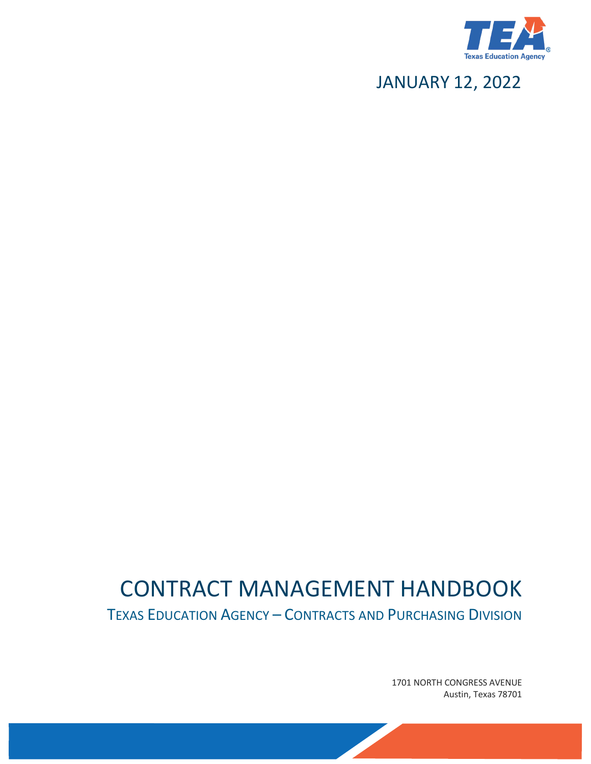

# JANUARY 12, 2022

# CONTRACT MANAGEMENT HANDBOOK

TEXAS EDUCATION AGENCY – CONTRACTS AND PURCHASING DIVISION

1701 NORTH CONGRESS AVENUE Austin, Texas 78701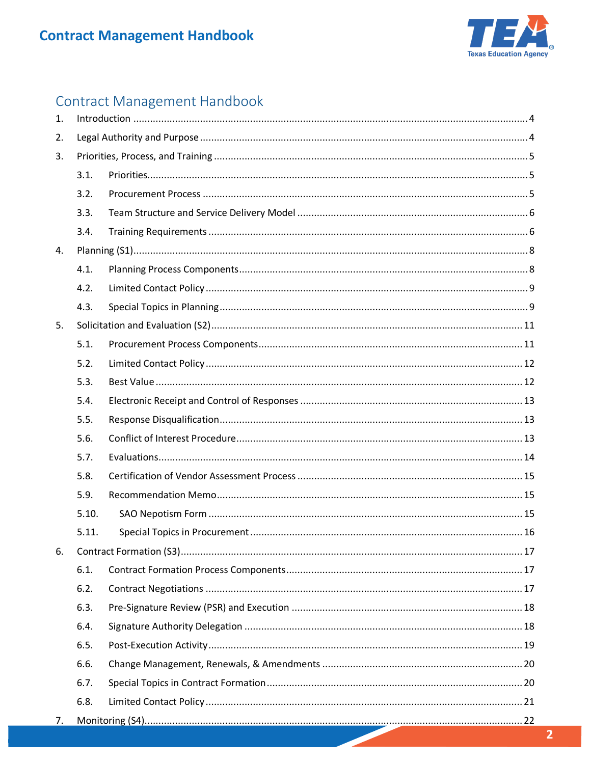

# Contract Management Handbook

| $\mathbf{1}$ . |       |  |  |
|----------------|-------|--|--|
| 2.             |       |  |  |
| 3.             |       |  |  |
|                | 3.1.  |  |  |
|                | 3.2.  |  |  |
|                | 3.3.  |  |  |
|                | 3.4.  |  |  |
| 4.             |       |  |  |
|                | 4.1.  |  |  |
|                | 4.2.  |  |  |
|                | 4.3.  |  |  |
| 5.             |       |  |  |
|                | 5.1.  |  |  |
|                | 5.2.  |  |  |
|                | 5.3.  |  |  |
|                | 5.4.  |  |  |
|                | 5.5.  |  |  |
|                | 5.6.  |  |  |
|                | 5.7.  |  |  |
|                | 5.8.  |  |  |
|                | 5.9.  |  |  |
|                | 5.10. |  |  |
|                | 5.11. |  |  |
| 6.             |       |  |  |
|                | 6.1.  |  |  |
|                | 6.2.  |  |  |
|                | 6.3.  |  |  |
|                | 6.4.  |  |  |
|                | 6.5.  |  |  |
|                | 6.6.  |  |  |
|                | 6.7.  |  |  |
|                | 6.8.  |  |  |
| 7.             |       |  |  |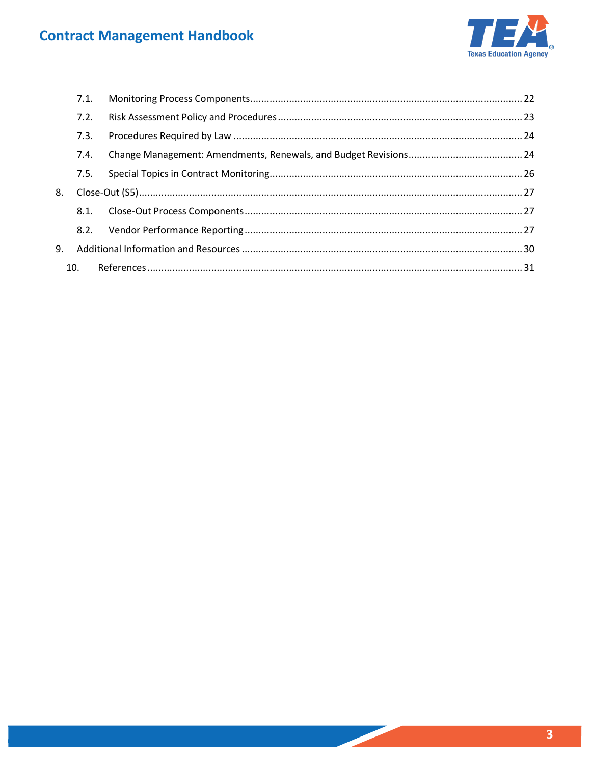

|    | 7.1. |  |  |
|----|------|--|--|
|    | 7.2. |  |  |
|    | 7.3. |  |  |
|    | 7.4. |  |  |
|    | 7.5. |  |  |
| 8. |      |  |  |
|    | 8.1. |  |  |
|    |      |  |  |
| 9. |      |  |  |
|    | 10.  |  |  |
|    |      |  |  |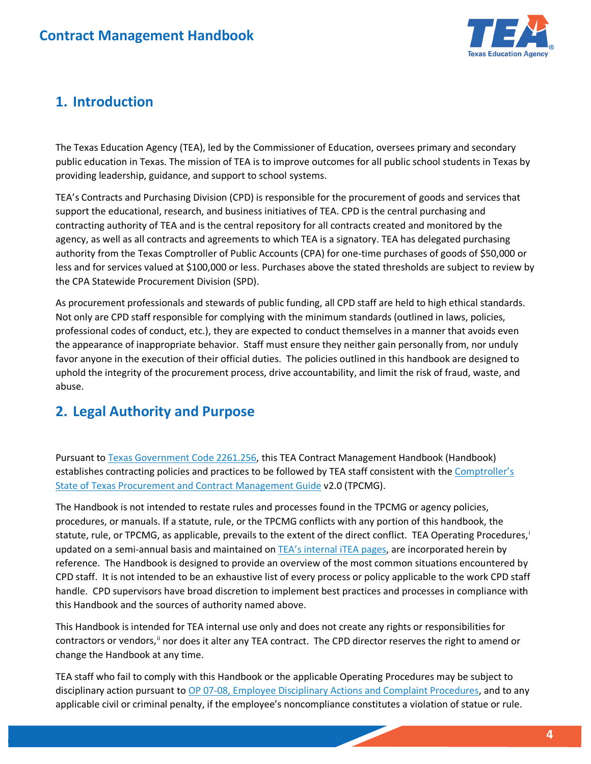

## <span id="page-3-0"></span>**1. Introduction**

 providing leadership, guidance, and support to school systems. The Texas Education Agency (TEA), led by the Commissioner of Education, oversees primary and secondary public education in Texas. The mission of TEA is to improve outcomes for all public school students in Texas by

 contracting authority of TEA and is the central repository for all contracts created and monitored by the authority from the Texas Comptroller of Public Accounts (CPA) for one-time purchases of goods of \$50,000 or the CPA Statewide Procurement Division (SPD). TEA's Contracts and Purchasing Division (CPD) is responsible for the procurement of goods and services that support the educational, research, and business initiatives of TEA. CPD is the central purchasing and agency, as well as all contracts and agreements to which TEA is a signatory. TEA has delegated purchasing less and for services valued at \$100,000 or less. Purchases above the stated thresholds are subject to review by

the CPA Statewide Procurement Division (SPD).<br>As procurement professionals and stewards of public funding, all CPD staff are held to high ethical standards.<br>Not only are CPD staff responsible for complying with the minimum professional codes of conduct, etc.), they are expected to conduct themselves in a manner that avoids even the appearance of inappropriate behavior. Staff must ensure they neither gain personally from, nor unduly favor anyone in the execution of their official duties. The policies outlined in this handbook are designed to uphold the integrity of the procurement process, drive accountability, and limit the risk of fraud, waste, and abuse.

## <span id="page-3-1"></span>**2. Legal Authority and Purpose**

establishes contracting policies and practices to be followed by TEA staff consistent with the Comptroller's [State of Texas Procurement and Contract Management Guide v](https://comptroller.texas.gov/purchasing/docs/96-1809.pdf)2.0 (TPCMG). Pursuant to [Texas Government Code 2261.256,](https://statutes.capitol.texas.gov/Docs/GV/htm/GV.2261.htm#2261.256) this TEA Contract Management Handbook (Handbook)

 procedures, or manuals. If a statute, rule, or the TPCMG conflicts with any portion of this handbook, the statute, rule, or TPCMG, as applicable, prevails to the extent of the direct conflict. TEA Operating Procedures,<sup>i</sup> reference. The Handbook is designed to provide an overview of the most common situations encountered by The Handbook is not intended to restate rules and processes found in the TPCMG or agency policies, updated on a semi-annual basis and maintained on **TEA's internal ITEA pages**, are incorporated herein by CPD staff. It is not intended to be an exhaustive list of every process or policy applicable to the work CPD staff handle. CPD supervisors have broad discretion to implement best practices and processes in compliance with this Handbook and the sources of authority named above.

contractors or vendors, i nor does it alter any TEA contract. The CPD director reserves the right to amend or change the Handbook at any time. This Handbook is intended for TEA internal use only and does not create any rights or responsibilities for

 TEA staff who fail to comply with this Handbook or the applicable Operating Procedures may be subject to disciplinary action pursuant to [OP 07-08, Employee Disciplinary Actions and Complaint Procedures,](https://texasedu.sharepoint.com/:w:/s/itea/orgdevelopment/ESM7udcvlHFMu_hB1-nBIKgB2blZKmkPUwHxQu8Yx3G8WQ?e=39etCL) and to any applicable civil or criminal penalty, if the employee's noncompliance constitutes a violation of statue or rule.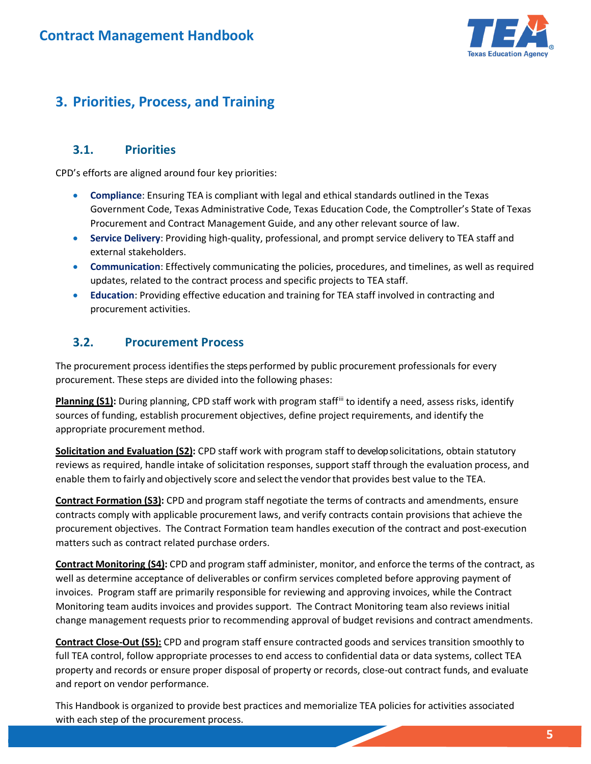

## <span id="page-4-0"></span>**3. Priorities, Process, and Training**

#### <span id="page-4-1"></span>**3.1. Priorities**

CPD's efforts are aligned around four key priorities:

- **Compliance**: Ensuring TEA is compliant with legal and ethical standards outlined in the Texas Government Code, Texas Administrative Code, Texas Education Code, the Comptroller's State of Texas Procurement and Contract Management Guide, and any other relevant source of law.
- **Service Delivery**: Providing high-quality, professional, and prompt service delivery to TEA staff and external stakeholders.
- **Communication**: Effectively communicating the policies, procedures, and timelines, as well as required updates, related to the contract process and specific projects to TEA staff.
- **Education**: Providing effective education and training for TEA staff involved in contracting and procurement activities.

#### <span id="page-4-2"></span>**3.2. Procurement Process**

 The procurement process identifies the steps performed by public procurement professionals for every procurement. These steps are divided into the following phases:

Planning (S1): During planning, CPD staff work with program staff<sup>[iii](#page-30-3)</sup> to identify a need, assess risks, identify sources of funding, establish procurement objectives, define project requirements, and identify the appropriate procurement method.

 enable them to fairly and objectively score and select the vendor that provides best value to the TEA. **Solicitation and Evaluation (S2):** CPD staff work with program staff to developsolicitations, obtain statutory reviews as required, handle intake of solicitation responses, support staff through the evaluation process, and

 contracts comply with applicable procurement laws, and verify contracts contain provisions that achieve the procurement objectives. The Contract Formation team handles execution of the contract and post-execution **Contract Formation (S3):** CPD and program staff negotiate the terms of contracts and amendments, ensure matters such as contract related purchase orders.

 **Contract Monitoring (S4):** CPD and program staff administer, monitor, and enforce the terms of the contract, as invoices. Program staff are primarily responsible for reviewing and approving invoices, while the Contract Monitoring team audits invoices and provides support. The Contract Monitoring team also reviews initial well as determine acceptance of deliverables or confirm services completed before approving payment of change management requests prior to recommending approval of budget revisions and contract amendments.

 **Contract Close-Out (S5):** CPD and program staff ensure contracted goods and services transition smoothly to full TEA control, follow appropriate processes to end access to confidential data or data systems, collect TEA property and records or ensure proper disposal of property or records, close-out contract funds, and evaluate and report on vendor performance.

This Handbook is organized to provide best practices and memorialize TEA policies for activities associated with each step of the procurement process.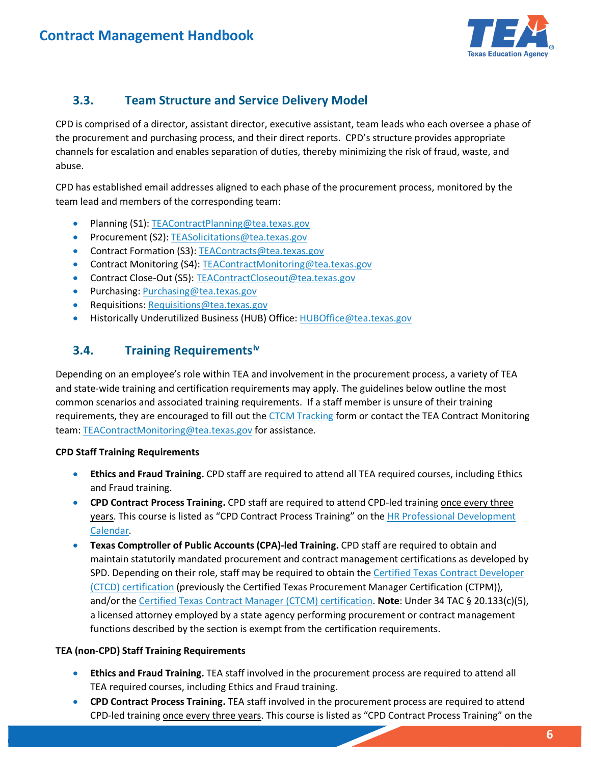

### <span id="page-5-0"></span>**3.3. Team Structure and Service Delivery Model**

 channels for escalation and enables separation of duties, thereby minimizing the risk of fraud, waste, and CPD is comprised of a director, assistant director, executive assistant, team leads who each oversee a phase of the procurement and purchasing process, and their direct reports. CPD's structure provides appropriate abuse.

 CPD has established email addresses aligned to each phase of the procurement process, monitored by the team lead and members of the corresponding team:

- Planning (S1): [TEAContractPlanning@tea.texas.gov](mailto:TEAContractPlanning@tea.texas.gov)
- Procurement (S2)[: TEASolicitations@tea.texas.gov](mailto:TEASolicitations@tea.texas.gov)
- Contract Formation (S3): [TEAContracts@tea.texas.gov](mailto:TEAContracts@tea.texas.gov)
- Contract Monitoring (S4): TEAContractMonitoring@tea.texas.gov
- Contract Close-Out (S5): [TEAContractCloseout@tea.texas.gov](mailto:TEAContractCloseout@tea.texas.gov)
- Purchasing: [Purchasing@tea.texas.gov](mailto:Purchasing@tea.texas.gov)
- Requisitions[: Requisitions@tea.texas.gov](mailto:Requisitions@tea.texas.gov)
- <span id="page-5-1"></span>• Historically Underutilized Business (HUB) Office[: HUBOffice@tea.texas.gov](mailto:HUBOffice@tea.texas.gov)

#### **3.4. Training Requirements[iv](#page-30-4)**

requirements, they are encouraged to fill out the [CTCM Tracking f](https://app.smartsheet.com/b/form/3a86a4d410fa48fe8d238089e6509771)orm or contact the TEA Contract Monitoring Depending on an employee's role within TEA and involvement in the procurement process, a variety of TEA and state-wide training and certification requirements may apply. The guidelines below outline the most common scenarios and associated training requirements. If a staff member is unsure of their training team: [TEAContractMonitoring@tea.texas.gov f](mailto:TEAContractMonitoring@tea.texas.gov)or assistance.

### **CPD Staff Training Requirements**

- • **Ethics and Fraud Training.** CPD staff are required to attend all TEA required courses, including Ethics and Fraud training.
- **CPD Contract Process Training.** CPD staff are required to attend CPD-led training once every three years. This course is listed as "CPD Contract Process Training" on the HR Professional Development [Calendar.](https://texasedu.sharepoint.com/sites/itea/od/default.aspx)
- **Texas Comptroller of Public Accounts (CPA)-led Training.** CPD staff are required to obtain and maintain statutorily mandated procurement and contract management certifications as developed by SPD. Depending on their role, staff may be required to obtain the Certified Texas Contract Developer [\(CTCD\) certification \(](https://comptroller.texas.gov/purchasing/training/purchasing-personnel/)previously the Certified Texas Procurement Manager Certification (CTPM)), and/or the [Certified Texas Contract Manager \(CTCM\) certification.](https://comptroller.texas.gov/purchasing/training/contract-manager/) **Note**: Under 34 TAC § 20.133(c)(5), a licensed attorney employed by a state agency performing procurement or contract management functions described by the section is exempt from the certification requirements.

### **TEA (non-CPD) Staff Training Requirements**

- **Ethics and Fraud Training.** TEA staff involved in the procurement process are required to attend all TEA required courses, including Ethics and Fraud training.
- **CPD Contract Process Training.** TEA staff involved in the procurement process are required to attend CPD-led training once every three years. This course is listed as "CPD Contract Process Training" on the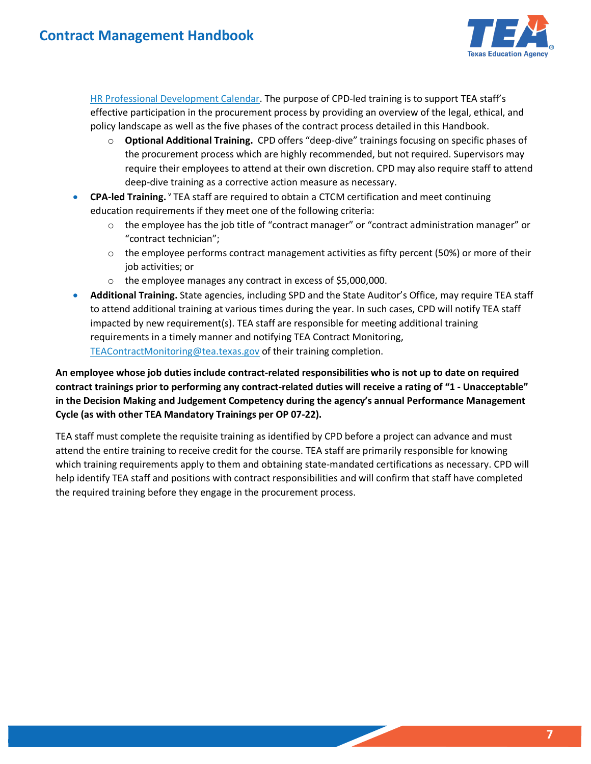

[HR Professional Development Calendar.](https://texasedu.sharepoint.com/sites/itea/od/default.aspx) The purpose of CPD-led training is to support TEA staff's effective participation in the procurement process by providing an overview of the legal, ethical, and policy landscape as well as the five phases of the contract process detailed in this Handbook.

- o **Optional Additional Training.** CPD offers "deep-dive" trainings focusing on specific phases of deep-dive training as a corrective action measure as necessary. the procurement process which are highly recommended, but not required. Supervisors may require their employees to attend at their own discretion. CPD may also require staff to attend
- **CPA-led Training.** YTEA staff are required to obtain a CTCM certification and meet continuing education requirements if they meet one of the following criteria:
	- $\circ$  the employee has the job title of "contract manager" or "contract administration manager" or "contract technician";
	- $\circ$  the employee performs contract management activities as fifty percent (50%) or more of their job activities; or
	- o the employee manages any contract in excess of \$5,000,000.
- **Additional Training.** State agencies, including SPD and the State Auditor's Office, may require TEA staff to attend additional training at various times during the year. In such cases, CPD will notify TEA staff impacted by new requirement(s). TEA staff are responsible for meeting additional training requirements in a timely manner and notifying TEA Contract Monitoring, [TEAContractMonitoring@tea.texas.gov](mailto:TEAContractMonitoring@tea.texas.gov) of their training completion.

**An employee whose job duties include contract-related responsibilities who is not up to date on required contract trainings prior to performing any contract-related duties will receive a rating of "1 - Unacceptable" in the Decision Making and Judgement Competency during the agency's annual Performance Management Cycle (as with other TEA Mandatory Trainings per OP 07-22).** 

 the required training before they engage in the procurement process. TEA staff must complete the requisite training as identified by CPD before a project can advance and must attend the entire training to receive credit for the course. TEA staff are primarily responsible for knowing which training requirements apply to them and obtaining state-mandated certifications as necessary. CPD will help identify TEA staff and positions with contract responsibilities and will confirm that staff have completed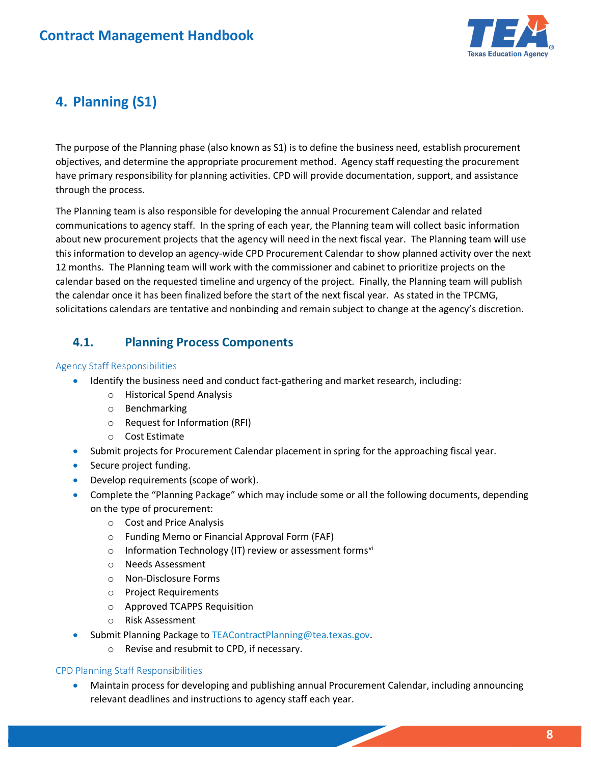

# <span id="page-7-0"></span> **4. Planning (S1)**

 objectives, and determine the appropriate procurement method. Agency staff requesting the procurement The purpose of the Planning phase (also known as S1) is to define the business need, establish procurement have primary responsibility for planning activities. CPD will provide documentation, support, and assistance through the process.

 communications to agency staff. In the spring of each year, the Planning team will collect basic information 12 months. The Planning team will work with the commissioner and cabinet to prioritize projects on the calendar based on the requested timeline and urgency of the project. Finally, the Planning team will publish the calendar once it has been finalized before the start of the next fiscal year. As stated in the TPCMG, The Planning team is also responsible for developing the annual Procurement Calendar and related about new procurement projects that the agency will need in the next fiscal year. The Planning team will use this information to develop an agency-wide CPD Procurement Calendar to show planned activity over the next solicitations calendars are tentative and nonbinding and remain subject to change at the agency's discretion.

### <span id="page-7-1"></span>**4.1. Planning Process Components**

### Agency Staff Responsibilities

- Identify the business need and conduct fact-gathering and market research, including:
	- o Historical Spend Analysis
	- o Benchmarking
	- o Request for Information (RFI)
	- o Cost Estimate
- Submit projects for Procurement Calendar placement in spring for the approaching fiscal year.
- Secure project funding.
- Develop requirements (scope of work).
- • Complete the "Planning Package" which may include some or all the following documents, depending on the type of procurement:
	- o Cost and Price Analysis
	- o Funding Memo or Financial Approval Form (FAF)
	- $\circ$  Information Technology (IT) review or assessment forms<sup>vi</sup>
	- o Needs Assessment
	- o Non-Disclosure Forms
	- o Project Requirements
	- o Approved TCAPPS Requisition
	- o Risk Assessment
	- Submit Planning Package t[o TEAContractPlanning@tea.texas.gov.](mailto:TEAContractPlanning@tea.texas.gov)
		- o Revise and resubmit to CPD, if necessary.

### CPD Planning Staff Responsibilities

 relevant deadlines and instructions to agency staff each year. • Maintain process for developing and publishing annual Procurement Calendar, including announcing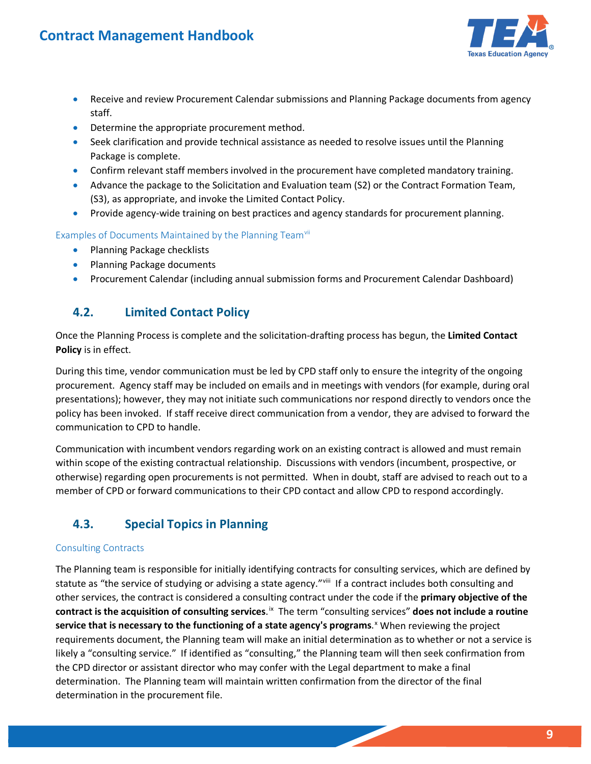

- Receive and review Procurement Calendar submissions and Planning Package documents from agency staff.
- Determine the appropriate procurement method.
- Seek clarification and provide technical assistance as needed to resolve issues until the Planning Package is complete.
- Confirm relevant staff members involved in the procurement have completed mandatory training.
- • Advance the package to the Solicitation and Evaluation team (S2) or the Contract Formation Team, (S3), as appropriate, and invoke the Limited Contact Policy.
- Provide agency-wide training on best practices and agency standards for procurement planning.

### Examples of Documents Maintained by the Planning Teamvill

- Planning Package checklists
- Planning Package documents
- Procurement Calendar (including annual submission forms and Procurement Calendar Dashboard)

#### <span id="page-8-0"></span>**4.2. Limited Contact Policy**

 **Policy** is in effect. Once the Planning Process is complete and the solicitation-drafting process has begun, the **Limited Contact** 

 policy has been invoked. If staff receive direct communication from a vendor, they are advised to forward the During this time, vendor communication must be led by CPD staff only to ensure the integrity of the ongoing procurement. Agency staff may be included on emails and in meetings with vendors (for example, during oral presentations); however, they may not initiate such communications nor respond directly to vendors once the communication to CPD to handle.

 Communication with incumbent vendors regarding work on an existing contract is allowed and must remain otherwise) regarding open procurements is not permitted. When in doubt, staff are advised to reach out to a within scope of the existing contractual relationship. Discussions with vendors (incumbent, prospective, or member of CPD or forward communications to their CPD contact and allow CPD to respond accordingly.

### <span id="page-8-1"></span>**4.3. Special Topics in Planning**

### Consulting Contracts

statute as "the service of studying or advising a state agency."<sup>viii</sup> If a contract includes both consulting and contract is the acquisition of consulting services.<sup>ix</sup> The term "consulting services" does not include a routine likely a "consulting service." If identified as "consulting," the Planning team will then seek confirmation from The Planning team is responsible for initially identifying contracts for consulting services, which are defined by other services, the contract is considered a consulting contract under the code if the **primary objective of the service that is necessary to the functioning of a state agency's programs**. [x](#page-30-10) When reviewing the project requirements document, the Planning team will make an initial determination as to whether or not a service is the CPD director or assistant director who may confer with the Legal department to make a final determination. The Planning team will maintain written confirmation from the director of the final determination in the procurement file.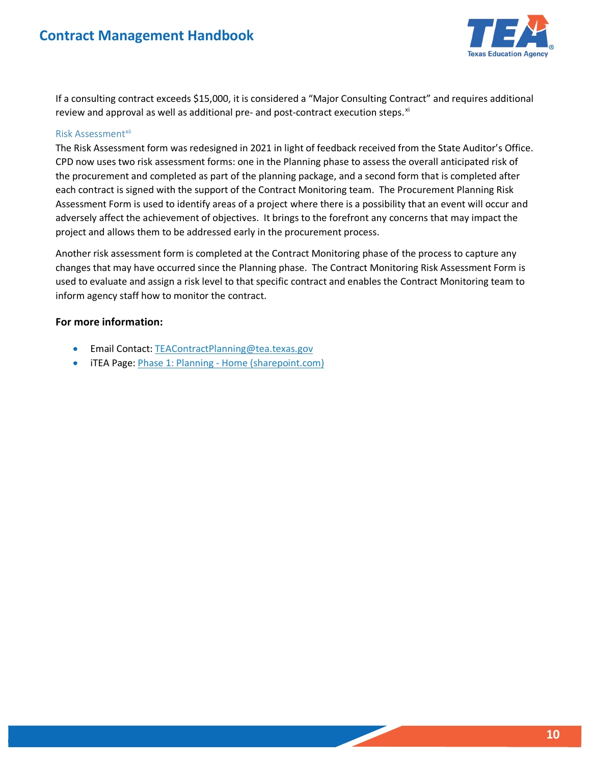

If a consulting contract exceeds \$15,000, it is considered a "Major Consulting Contract" and requires additional review and approval as well as additional pre- and post-contract execution steps.<sup>xi</sup>

#### Risk Assessmentxii

The Risk Assessment form was redesigned in 2021 in light of feedback received from the State Auditor's Office.<br>CPD now uses two risk assessment forms: one in the Planning phase to assess the overall anticipated risk of each contract is signed with the support of the Contract Monitoring team. The Procurement Planning Risk Assessment Form is used to identify areas of a project where there is a possibility that an event will occur and adversely affect the achievement of objectives. It brings to the forefront any concerns that may impact the the procurement and completed as part of the planning package, and a second form that is completed after project and allows them to be addressed early in the procurement process.

 changes that may have occurred since the Planning phase. The Contract Monitoring Risk Assessment Form is used to evaluate and assign a risk level to that specific contract and enables the Contract Monitoring team to Another risk assessment form is completed at the Contract Monitoring phase of the process to capture any inform agency staff how to monitor the contract.

#### **For more information:**

- Email Contact[: TEAContractPlanning@tea.texas.gov](mailto:TEAContractPlanning@tea.texas.gov)
- iTEA Page: *Phase 1: Planning Home (sharepoint.com)*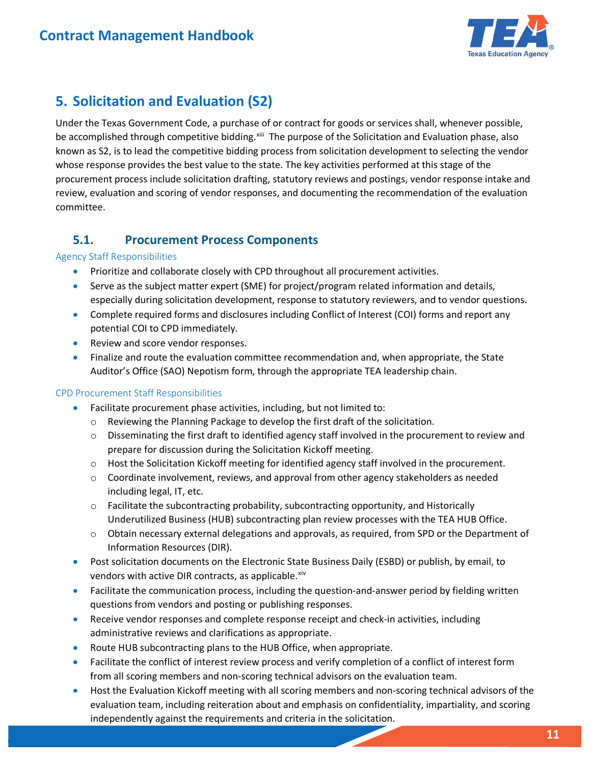

## <span id="page-10-0"></span>**5. Solicitation and Evaluation (S2)**

be accomplished through competitive bidding.<sup>[xiii](#page-30-13)</sup> The purpose of the Solicitation and Evaluation phase, also procurement process include solicitation drafting, statutory reviews and postings, vendor response intake and Under the Texas Government Code, a purchase of or contract for goods or services shall, whenever possible, known as S2, is to lead the competitive bidding process from solicitation development to selecting the vendor whose response provides the best value to the state. The key activities performed at this stage of the review, evaluation and scoring of vendor responses, and documenting the recommendation of the evaluation committee.

### <span id="page-10-1"></span>**5.1. Procurement Process Components**

### Agency Staff Responsibilities

- Prioritize and collaborate closely with CPD throughout all procurement activities.
- Serve as the subject matter expert (SME) for project/program related information and details, especially during solicitation development, response to statutory reviewers, and to vendor questions.
- • Complete required forms and disclosures including Conflict of Interest (COI) forms and report any potential COI to CPD immediately.
- Review and score vendor responses.
- Auditor's Office (SAO) Nepotism form, through the appropriate TEA leadership chain. • Finalize and route the evaluation committee recommendation and, when appropriate, the State

### CPD Procurement Staff Responsibilities

- Facilitate procurement phase activities, including, but not limited to:
	- o Reviewing the Planning Package to develop the first draft of the solicitation.
	- $\circ$  Disseminating the first draft to identified agency staff involved in the procurement to review and prepare for discussion during the Solicitation Kickoff meeting.
	- o Host the Solicitation Kickoff meeting for identified agency staff involved in the procurement.
	- $\circ$  Coordinate involvement, reviews, and approval from other agency stakeholders as needed including legal, IT, etc.
	- Underutilized Business (HUB) subcontracting plan review processes with the TEA HUB Office.  $\circ$  Facilitate the subcontracting probability, subcontracting opportunity, and Historically
	- o Obtain necessary external delegations and approvals, as required, from SPD or the Department of Information Resources (DIR).
- • Post solicitation documents on the Electronic State Business Daily (ESBD) or publish, by email, to vendors with active DIR contracts, as applicable.<sup>[xiv](#page-30-14)</sup>
- questions from vendors and posting or publishing responses. • Facilitate the communication process, including the question-and-answer period by fielding written
- Receive vendor responses and complete response receipt and check-in activities, including administrative reviews and clarifications as appropriate.
- Route HUB subcontracting plans to the HUB Office, when appropriate.
- • Facilitate the conflict of interest review process and verify completion of a conflict of interest form from all scoring members and non-scoring technical advisors on the evaluation team.
- • Host the Evaluation Kickoff meeting with all scoring members and non-scoring technical advisors of the evaluation team, including reiteration about and emphasis on confidentiality, impartiality, and scoring independently against the requirements and criteria in the solicitation.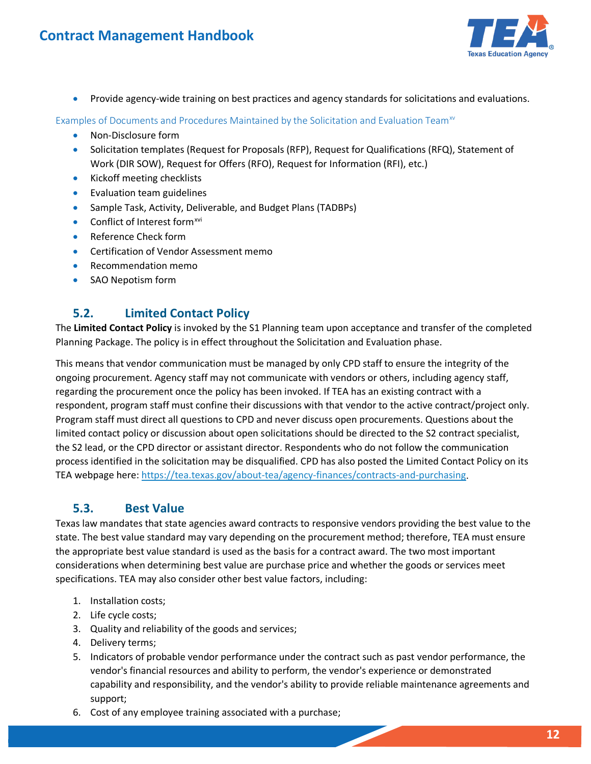

• Provide agency-wide training on best practices and agency standards for solicitations and evaluations.

Examples of Documents and Procedures Maintained by the Solicitation and Evaluation Team<sup>xv</sup>

- Non-Disclosure form
- Solicitation templates (Request for Proposals (RFP), Request for Qualifications (RFQ), Statement of Work (DIR SOW), Request for Offers (RFO), Request for Information (RFI), etc.)
- Kickoff meeting checklists
- Evaluation team guidelines
- Sample Task, Activity, Deliverable, and Budget Plans (TADBPs)
- Conflict of Interest form<sup>[xvi](#page-30-16)</sup>
- Reference Check form
- Certification of Vendor Assessment memo
- Recommendation memo
- SAO Nepotism form

### <span id="page-11-0"></span>**5.2. Limited Contact Policy**

 The **Limited Contact Policy** is invoked by the S1 Planning team upon acceptance and transfer of the completed Planning Package. The policy is in effect throughout the Solicitation and Evaluation phase.

 respondent, program staff must confine their discussions with that vendor to the active contract/project only. limited contact policy or discussion about open solicitations should be directed to the S2 contract specialist, This means that vendor communication must be managed by only CPD staff to ensure the integrity of the ongoing procurement. Agency staff may not communicate with vendors or others, including agency staff, regarding the procurement once the policy has been invoked. If TEA has an existing contract with a Program staff must direct all questions to CPD and never discuss open procurements. Questions about the the S2 lead, or the CPD director or assistant director. Respondents who do not follow the communication process identified in the solicitation may be disqualified. CPD has also posted the Limited Contact Policy on its TEA webpage here[: https://tea.texas.gov/about-tea/agency-finances/contracts-and-purchasing.](https://tea.texas.gov/about-tea/agency-finances/contracts-and-purchasing) 

### <span id="page-11-1"></span>**5.3. Best Value**

 state. The best value standard may vary depending on the procurement method; therefore, TEA must ensure Texas law mandates that state agencies award contracts to responsive vendors providing the best value to the the appropriate best value standard is used as the basis for a contract award. The two most important considerations when determining best value are purchase price and whether the goods or services meet specifications. TEA may also consider other best value factors, including:

- 1. Installation costs;
- 2. Life cycle costs;
- 3. Quality and reliability of the goods and services;
- 4. Delivery terms;
- 5. Indicators of probable vendor performance under the contract such as past vendor performance, the vendor's financial resources and ability to perform, the vendor's experience or demonstrated capability and responsibility, and the vendor's ability to provide reliable maintenance agreements and support;
- 6. Cost of any employee training associated with a purchase;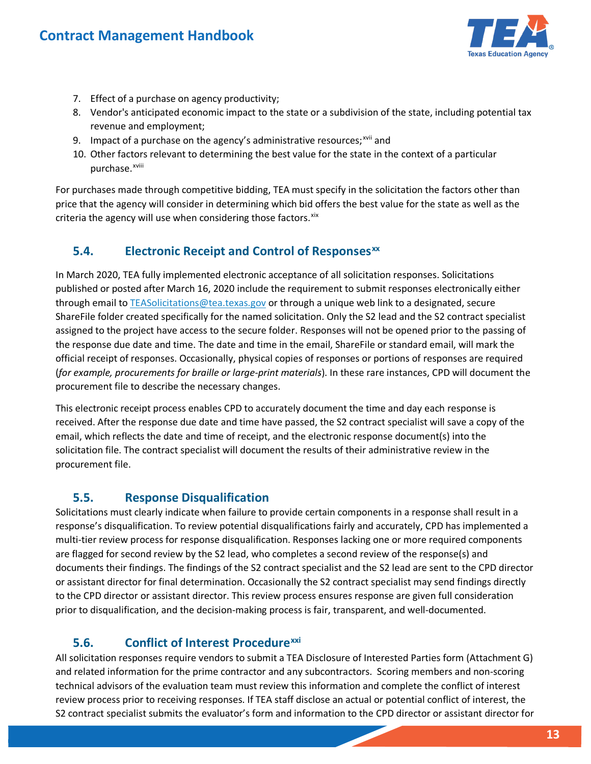

- 7. Effect of a purchase on agency productivity;
- 8. Vendor's anticipated economic impact to the state or a subdivision of the state, including potential tax revenue and employment;
- 9. Impact of a purchase on the agency's administrative resources;<sup>xvii</sup> and
- 10. Other factors relevant to determining the best value for the state in the context of a particular purchase.<sup>xviii</sup>

For purchases made through competitive bidding, TEA must specify in the solicitation the factors other than price that the agency will consider in determining which bid offers the best value for the state as well as the criteria the agency will use when considering those factors. [xix](#page-30-19)

### <span id="page-12-0"></span>**5.4. Electronic Receipt and Control of Responses[xx](#page-30-20)**

 In March 2020, TEA fully implemented electronic acceptance of all solicitation responses. Solicitations assigned to the project have access to the secure folder. Responses will not be opened prior to the passing of published or posted after March 16, 2020 include the requirement to submit responses electronically either through email to [TEASolicitations@tea.texas.gov](mailto:TEASolicitations@tea.texas.gov) or through a unique web link to a designated, secure ShareFile folder created specifically for the named solicitation. Only the S2 lead and the S2 contract specialist the response due date and time. The date and time in the email, ShareFile or standard email, will mark the official receipt of responses. Occasionally, physical copies of responses or portions of responses are required (*for example, procurements for braille or large-print materials*). In these rare instances, CPD will document the procurement file to describe the necessary changes.

 This electronic receipt process enables CPD to accurately document the time and day each response is received. After the response due date and time have passed, the S2 contract specialist will save a copy of the email, which reflects the date and time of receipt, and the electronic response document(s) into the solicitation file. The contract specialist will document the results of their administrative review in the procurement file.

### <span id="page-12-1"></span>**5.5. Response Disqualification**

 documents their findings. The findings of the S2 contract specialist and the S2 lead are sent to the CPD director or assistant director for final determination. Occasionally the S2 contract specialist may send findings directly to the CPD director or assistant director. This review process ensures response are given full consideration Solicitations must clearly indicate when failure to provide certain components in a response shall result in a response's disqualification. To review potential disqualifications fairly and accurately, CPD has implemented a multi-tier review process for response disqualification. Responses lacking one or more required components are flagged for second review by the S2 lead, who completes a second review of the response(s) and prior to disqualification, and the decision-making process is fair, transparent, and well-documented.

### <span id="page-12-2"></span>**5.6. Conflict of Interest Procedure[xxi](#page-30-21)**

 All solicitation responses require vendors to submit a TEA Disclosure of Interested Parties form (Attachment G) and related information for the prime contractor and any subcontractors. Scoring members and non-scoring technical advisors of the evaluation team must review this information and complete the conflict of interest review process prior to receiving responses. If TEA staff disclose an actual or potential conflict of interest, the S2 contract specialist submits the evaluator's form and information to the CPD director or assistant director for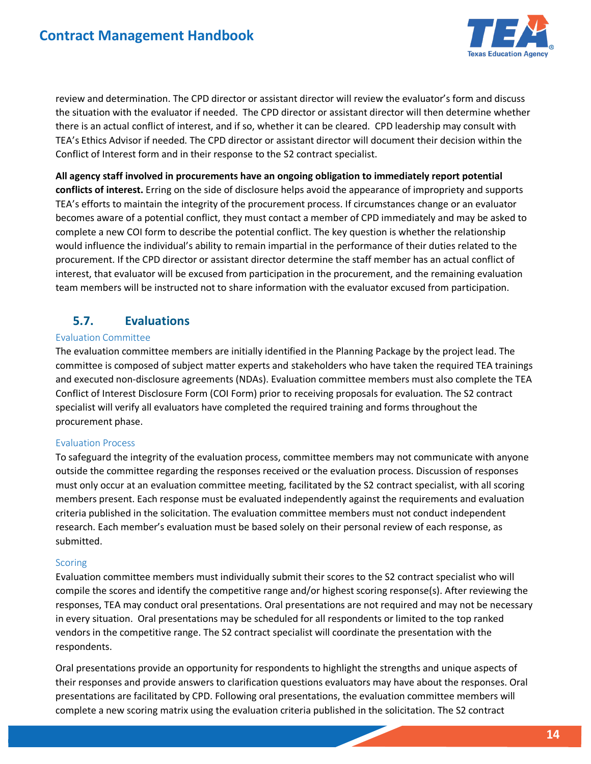

 review and determination. The CPD director or assistant director will review the evaluator's form and discuss there is an actual conflict of interest, and if so, whether it can be cleared. CPD leadership may consult with the situation with the evaluator if needed. The CPD director or assistant director will then determine whether TEA's Ethics Advisor if needed. The CPD director or assistant director will document their decision within the Conflict of Interest form and in their response to the S2 contract specialist.

 team members will be instructed not to share information with the evaluator excused from participation. **All agency staff involved in procurements have an ongoing obligation to immediately report potential conflicts of interest.** Erring on the side of disclosure helps avoid the appearance of impropriety and supports TEA's efforts to maintain the integrity of the procurement process. If circumstances change or an evaluator becomes aware of a potential conflict, they must contact a member of CPD immediately and may be asked to complete a new COI form to describe the potential conflict. The key question is whether the relationship would influence the individual's ability to remain impartial in the performance of their duties related to the procurement. If the CPD director or assistant director determine the staff member has an actual conflict of interest, that evaluator will be excused from participation in the procurement, and the remaining evaluation

### <span id="page-13-0"></span>**5.7. Evaluations**

### Evaluation Committee

 Conflict of Interest Disclosure Form (COI Form) prior to receiving proposals for evaluation. The S2 contract The evaluation committee members are initially identified in the Planning Package by the project lead. The committee is composed of subject matter experts and stakeholders who have taken the required TEA trainings and executed non-disclosure agreements (NDAs). Evaluation committee members must also complete the TEA specialist will verify all evaluators have completed the required training and forms throughout the procurement phase.

### Evaluation Process

To safeguard the integrity of the evaluation process, committee members may not communicate with anyone outside the committee regarding the responses received or the evaluation process. Discussion of responses must only occur at an evaluation committee meeting, facilitated by the S2 contract specialist, with all scoring members present. Each response must be evaluated independently against the requirements and evaluation criteria published in the solicitation. The evaluation committee members must not conduct independent research. Each member's evaluation must be based solely on their personal review of each response, as submitted.

### **Scoring**

 Evaluation committee members must individually submit their scores to the S2 contract specialist who will responses, TEA may conduct oral presentations. Oral presentations are not required and may not be necessary compile the scores and identify the competitive range and/or highest scoring response(s). After reviewing the in every situation. Oral presentations may be scheduled for all respondents or limited to the top ranked vendors in the competitive range. The S2 contract specialist will coordinate the presentation with the respondents.

Oral presentations provide an opportunity for respondents to highlight the strengths and unique aspects of their responses and provide answers to clarification questions evaluators may have about the responses. Oral presentations are facilitated by CPD. Following oral presentations, the evaluation committee members will complete a new scoring matrix using the evaluation criteria published in the solicitation. The S2 contract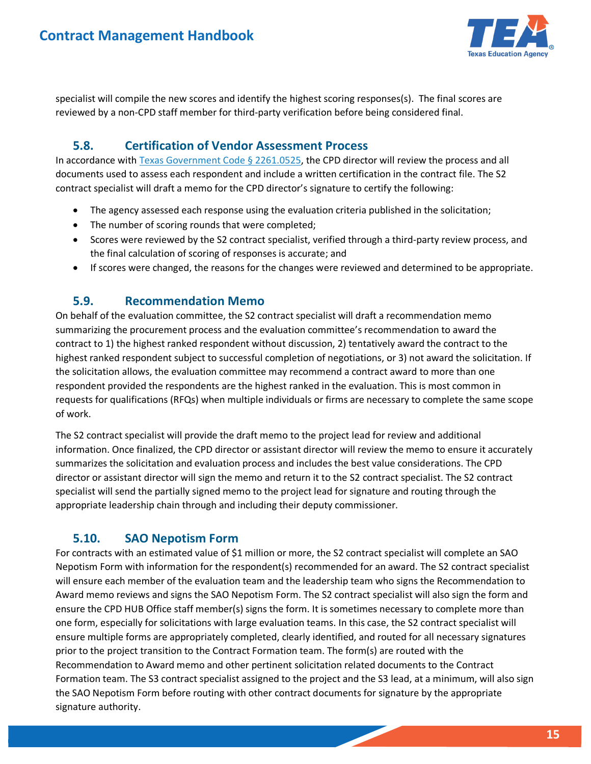

 specialist will compile the new scores and identify the highest scoring responses(s). The final scores are reviewed by a non-CPD staff member for third-party verification before being considered final.

### <span id="page-14-0"></span>**5.8. Certification of Vendor Assessment Process**

In accordance with [Texas Government Code § 2261.0525,](https://statutes.capitol.texas.gov/Docs/GV/htm/GV.2261.htm#2261.0525) the CPD director will review the process and all documents used to assess each respondent and include a written certification in the contract file. The S2 contract specialist will draft a memo for the CPD director's signature to certify the following:

- The agency assessed each response using the evaluation criteria published in the solicitation;
- The number of scoring rounds that were completed;
- Scores were reviewed by the S2 contract specialist, verified through a third-party review process, and the final calculation of scoring of responses is accurate; and
- If scores were changed, the reasons for the changes were reviewed and determined to be appropriate.

### <span id="page-14-1"></span>**5.9. Recommendation Memo**

 On behalf of the evaluation committee, the S2 contract specialist will draft a recommendation memo contract to 1) the highest ranked respondent without discussion, 2) tentatively award the contract to the requests for qualifications (RFQs) when multiple individuals or firms are necessary to complete the same scope summarizing the procurement process and the evaluation committee's recommendation to award the highest ranked respondent subject to successful completion of negotiations, or 3) not award the solicitation. If the solicitation allows, the evaluation committee may recommend a contract award to more than one respondent provided the respondents are the highest ranked in the evaluation. This is most common in of work.

 appropriate leadership chain through and including their deputy commissioner. The S2 contract specialist will provide the draft memo to the project lead for review and additional information. Once finalized, the CPD director or assistant director will review the memo to ensure it accurately summarizes the solicitation and evaluation process and includes the best value considerations. The CPD director or assistant director will sign the memo and return it to the S2 contract specialist. The S2 contract specialist will send the partially signed memo to the project lead for signature and routing through the

### <span id="page-14-2"></span>**5.10. SAO Nepotism Form**

 For contracts with an estimated value of \$1 million or more, the S2 contract specialist will complete an SAO ensure the CPD HUB Office staff member(s) signs the form. It is sometimes necessary to complete more than prior to the project transition to the Contract Formation team. The form(s) are routed with the Formation team. The S3 contract specialist assigned to the project and the S3 lead, at a minimum, will also sign Nepotism Form with information for the respondent(s) recommended for an award. The S2 contract specialist will ensure each member of the evaluation team and the leadership team who signs the Recommendation to Award memo reviews and signs the SAO Nepotism Form. The S2 contract specialist will also sign the form and one form, especially for solicitations with large evaluation teams. In this case, the S2 contract specialist will ensure multiple forms are appropriately completed, clearly identified, and routed for all necessary signatures Recommendation to Award memo and other pertinent solicitation related documents to the Contract the SAO Nepotism Form before routing with other contract documents for signature by the appropriate signature authority.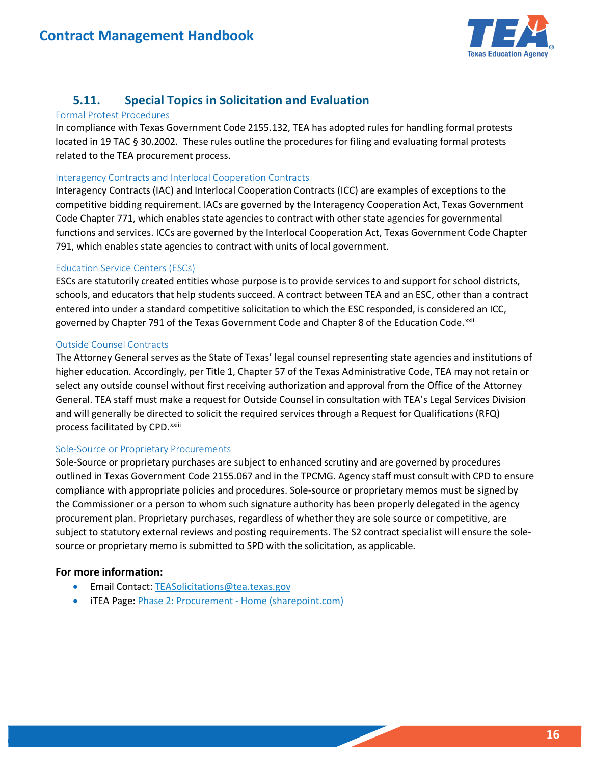

### <span id="page-15-0"></span>**5.11. Special Topics in Solicitation and Evaluation**

#### Formal Protest Procedures

 located in 19 TAC § 30.2002. These rules outline the procedures for filing and evaluating formal protests In compliance with Texas Government Code 2155.132, TEA has adopted rules for handling formal protests related to the TEA procurement process.

#### Interagency Contracts and Interlocal Cooperation Contracts

Interagency Contracts (IAC) and Interlocal Cooperation Contracts (ICC) are examples of exceptions to the competitive bidding requirement. IACs are governed by the Interagency Cooperation Act, Texas Government Code Chapter 771, which enables state agencies to contract with other state agencies for governmental functions and services. ICCs are governed by the Interlocal Cooperation Act, Texas Government Code Chapter 791, which enables state agencies to contract with units of local government.

### Education Service Centers (ESCs)

governed by Chapter 791 of the Texas Government Code and Chapter 8 of the Education Code.<sup>xxii</sup> ESCs are statutorily created entities whose purpose is to provide services to and support for school districts, schools, and educators that help students succeed. A contract between TEA and an ESC, other than a contract entered into under a standard competitive solicitation to which the ESC responded, is considered an ICC,

### Outside Counsel Contracts

 and will generally be directed to solicit the required services through a Request for Qualifications (RFQ) The Attorney General serves as the State of Texas' legal counsel representing state agencies and institutions of higher education. Accordingly, per Title 1, Chapter 57 of the Texas Administrative Code, TEA may not retain or select any outside counsel without first receiving authorization and approval from the Office of the Attorney General. TEA staff must make a request for Outside Counsel in consultation with TEA's Legal Services Division processfacilitated by CPD. xxiii

### Sole-Source or Proprietary Procurements

Sole-Source or proprietary purchases are subject to enhanced scrutiny and are governed by procedures outlined in Texas Government Code 2155.067 and in the TPCMG. Agency staff must consult with CPD to ensure compliance with appropriate policies and procedures. Sole-source or proprietary memos must be signed by the Commissioner or a person to whom such signature authority has been properly delegated in the agency procurement plan. Proprietary purchases, regardless of whether they are sole source or competitive, are subject to statutory external reviews and posting requirements. The S2 contract specialist will ensure the solesource or proprietary memo is submitted to SPD with the solicitation, as applicable.

### **For more information:**

- Email Contact[: TEASolicitations@tea.texas.gov](mailto:TEASolicitations@tea.texas.gov)
- iTEA Page: Phase 2: Procurement [Home \(sharepoint.com\)](https://texasedu.sharepoint.com/sites/itea/cgfa/contractsandpurchasing/procurement/SitePages/Home.aspx)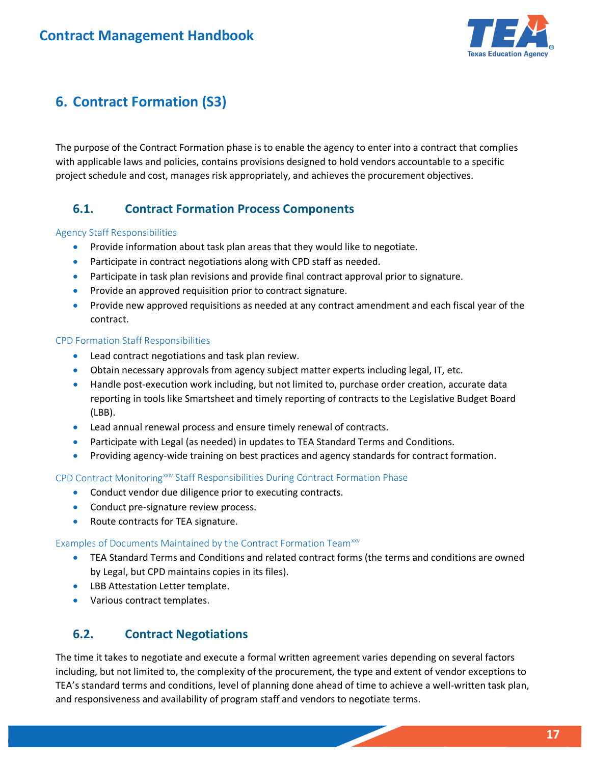

## <span id="page-16-0"></span>**6. Contract Formation (S3)**

 The purpose of the Contract Formation phase is to enable the agency to enter into a contract that complies with applicable laws and policies, contains provisions designed to hold vendors accountable to a specific project schedule and cost, manages risk appropriately, and achieves the procurement objectives.

### <span id="page-16-1"></span>**6.1. Contract Formation Process Components**

### Agency Staff Responsibilities

- Provide information about task plan areas that they would like to negotiate.
- Participate in contract negotiations along with CPD staff as needed.
- Participate in task plan revisions and provide final contract approval prior to signature.
- Provide an approved requisition prior to contract signature.
- • Provide new approved requisitions as needed at any contract amendment and each fiscal year of the contract.

#### CPD Formation Staff Responsibilities

- Lead contract negotiations and task plan review.
- Obtain necessary approvals from agency subject matter experts including legal, IT, etc.
- • Handle post-execution work including, but not limited to, purchase order creation, accurate data reporting in tools like Smartsheet and timely reporting of contracts to the Legislative Budget Board (LBB).
- Lead annual renewal process and ensure timely renewal of contracts.
- Participate with Legal (as needed) in updates to TEA Standard Terms and Conditions.
- Providing agency-wide training on best practices and agency standards for contract formation.

CPD Contract Monitoring<sup>[xxiv](#page-30-24)</sup> Staff Responsibilities During Contract Formation Phase

- Conduct vendor due diligence prior to executing contracts.
- Conduct pre-signature review process.
- Route contracts for TEA signature.

#### Examples of Documents Maintained by the Contract Formation Team<sup>xxv</sup>

- TEA Standard Terms and Conditions and related contract forms (the terms and conditions are owned by Legal, but CPD maintains copies in its files).
- LBB Attestation Letter template.
- Various contract templates.

### <span id="page-16-2"></span> **6.2. Contract Negotiations**

The time it takes to negotiate and execute a formal written agreement varies depending on several factors including, but not limited to, the complexity of the procurement, the type and extent of vendor exceptions to TEA's standard terms and conditions, level of planning done ahead of time to achieve a well-written task plan, and responsiveness and availability of program staff and vendors to negotiate terms.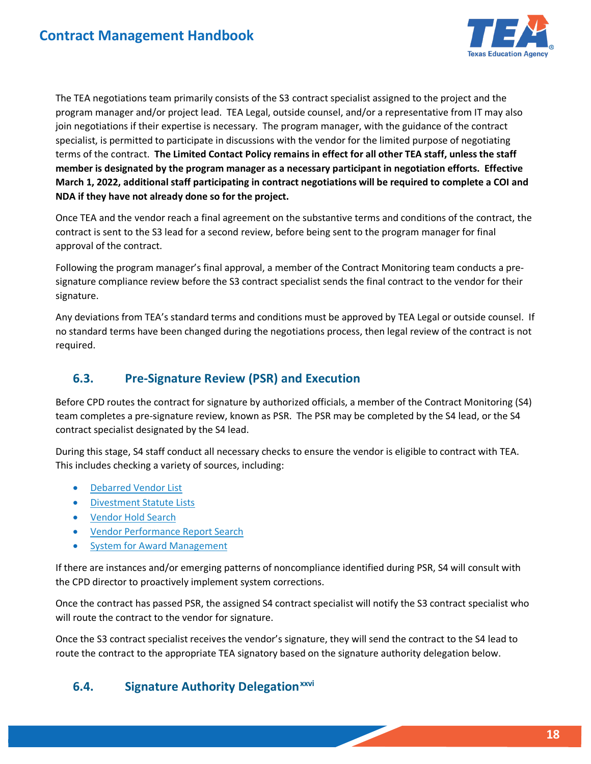

 terms of the contract. **The Limited Contact Policy remains in effect for all other TEA staff, unless the staff member is designated by the program manager as a necessary participant in negotiation efforts. Effective**  The TEA negotiations team primarily consists of the S3 contract specialist assigned to the project and the program manager and/or project lead. TEA Legal, outside counsel, and/or a representative from IT may also join negotiations if their expertise is necessary. The program manager, with the guidance of the contract specialist, is permitted to participate in discussions with the vendor for the limited purpose of negotiating **March 1, 2022, additional staff participating in contract negotiations will be required to complete a COI and NDA if they have not already done so for the project.** 

 contract is sent to the S3 lead for a second review, before being sent to the program manager for final approval of the contract. Once TEA and the vendor reach a final agreement on the substantive terms and conditions of the contract, the

 signature compliance review before the S3 contract specialist sends the final contract to the vendor for their Following the program manager's final approval, a member of the Contract Monitoring team conducts a presignature.

 Any deviations from TEA's standard terms and conditions must be approved by TEA Legal or outside counsel. If no standard terms have been changed during the negotiations process, then legal review of the contract is not required.

### <span id="page-17-0"></span> **6.3. Pre-Signature Review (PSR) and Execution**

 team completes a pre-signature review, known as PSR. The PSR may be completed by the S4 lead, or the S4 Before CPD routes the contract for signature by authorized officials, a member of the Contract Monitoring (S4) contract specialist designated by the S4 lead.

 During this stage, S4 staff conduct all necessary checks to ensure the vendor is eligible to contract with TEA. This includes checking a variety of sources, including:

- $\bullet$ [Debarred Vendor List](https://comptroller.texas.gov/purchasing/programs/vendor-performance-tracking/debarred-vendors.php)
- [Divestment Statute Lists](https://comptroller.texas.gov/purchasing/publications/divestment.php)
- <u>Vendor Hold Search</u>
- [Vendor Performance Report Search](http://www.txsmartbuy.com/vpts)
- **System for Award Management** •

If there are instances and/or emerging patterns of noncompliance identified during PSR, S4 will consult with the CPD director to proactively implement system corrections.

Once the contract has passed PSR, the assigned S4 contract specialist will notify the S3 contract specialist who will route the contract to the vendor for signature.

 Once the S3 contract specialist receives the vendor's signature, they will send the contract to the S4 lead to route the contract to the appropriate TEA signatory based on the signature authority delegation below.

### <span id="page-17-1"></span> **6.4. Signature Authority Delegation[xxvi](#page-30-26)**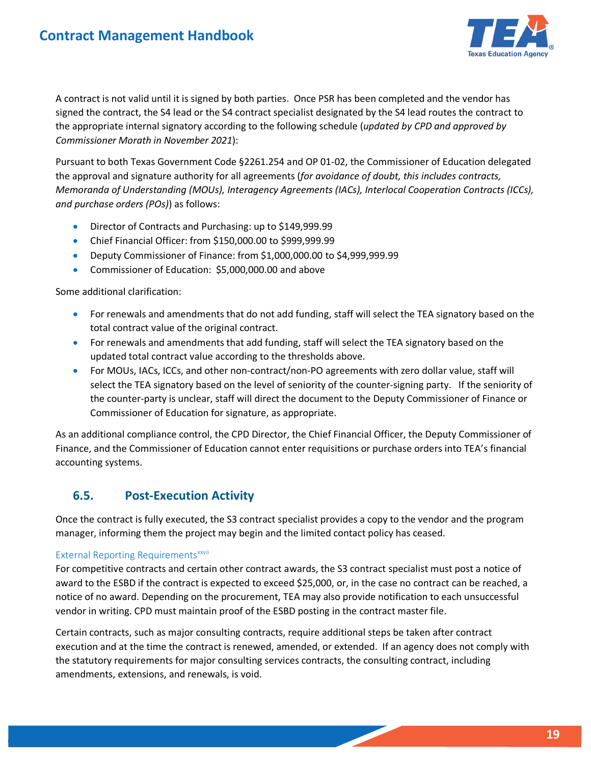

 the appropriate internal signatory according to the following schedule (*updated by CPD and approved by Commissioner Morath in November 2021*): A contract is not valid until it is signed by both parties. Once PSR has been completed and the vendor has signed the contract, the S4 lead or the S4 contract specialist designated by the S4 lead routes the contract to

 *and purchase orders (POs)*) as follows: Pursuant to both Texas Government Code §2261.254 and OP 01-02, the Commissioner of Education delegated the approval and signature authority for all agreements (*for avoidance of doubt, this includes contracts, Memoranda of Understanding (MOUs), Interagency Agreements (IACs), Interlocal Cooperation Contracts (ICCs),* 

- Director of Contracts and Purchasing: up to [\\$149,999.99](https://149,999.99)
- Chief Financial Officer: from \$[150,000.00](https://150,000.00) to \$[999,999.99](https://999,999.99)
- Deputy Commissioner of Finance: from [\\$1,000,000.00](https://1,000,000.00) to [\\$4,999,999.99](https://4,999,999.99)
- Commissioner of Education: \$ [5,000,000.00](https://5,000,000.00) and above

Some additional clarification:

- total contract value of the original contract. • For renewals and amendments that do not add funding, staff will select the TEA signatory based on the
- For renewals and amendments that add funding, staff will select the TEA signatory based on the updated total contract value according to the thresholds above.
- For MOUs, IACs, ICCs, and other non-contract/non-PO agreements with zero dollar value, staff will select the TEA signatory based on the level of seniority of the counter-signing party. If the seniority of the counter-party is unclear, staff will direct the document to the Deputy Commissioner of Finance or Commissioner of Education for signature, as appropriate.

 As an additional compliance control, the CPD Director, the Chief Financial Officer, the Deputy Commissioner of Finance, and the Commissioner of Education cannot enter requisitions or purchase orders into TEA's financial accounting systems.

### <span id="page-18-0"></span>**6.5. Post-Execution Activity**

 manager, informing them the project may begin and the limited contact policy has ceased. Once the contract is fully executed, the S3 contract specialist provides a copy to the vendor and the program

### External Reporting Requirements<sup>xxvii</sup>

For competitive contracts and certain other contract awards, the S3 contract specialist must post a notice of award to the ESBD if the contract is expected to exceed \$25,000, or, in the case no contract can be reached, a notice of no award. Depending on the procurement, TEA may also provide notification to each unsuccessful vendor in writing. CPD must maintain proof of the ESBD posting in the contract master file.

Certain contracts, such as major consulting contracts, require additional steps be taken after contract execution and at the time the contract is renewed, amended, or extended. If an agency does not comply with the statutory requirements for major consulting services contracts, the consulting contract, including amendments, extensions, and renewals, is void.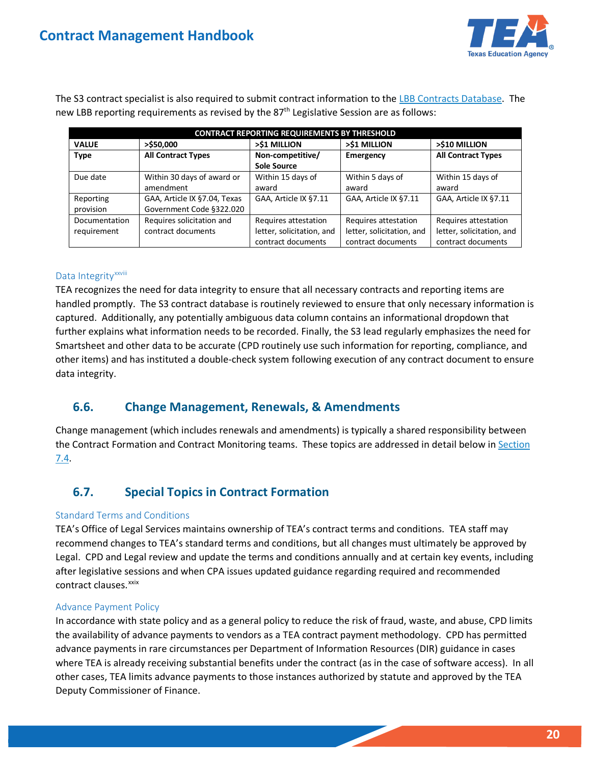

The S3 contract specialist is also required to submit contract information to the [LBB Contracts Database.](https://cms.lbb.state.tx.us/Login.aspx?ReturnUrl=%2fPublic%2fSearch.aspx;) The new LBB reporting requirements as revised by the  $87<sup>th</sup>$  Legislative Session are as follows:

| <b>CONTRACT REPORTING REQUIREMENTS BY THRESHOLD</b> |                              |                           |                           |                           |  |
|-----------------------------------------------------|------------------------------|---------------------------|---------------------------|---------------------------|--|
| <b>VALUE</b>                                        | $>$ \$50,000                 | >\$1 MILLION              | >\$1 MILLION              | >\$10 MILLION             |  |
| <b>Type</b>                                         | <b>All Contract Types</b>    | Non-competitive/          | Emergency                 | <b>All Contract Types</b> |  |
|                                                     |                              | <b>Sole Source</b>        |                           |                           |  |
| Due date                                            | Within 30 days of award or   | Within 15 days of         | Within 5 days of          | Within 15 days of         |  |
|                                                     | amendment                    | award                     | award                     | award                     |  |
| Reporting                                           | GAA, Article IX §7.04, Texas | GAA, Article IX §7.11     | GAA, Article IX §7.11     | GAA, Article IX §7.11     |  |
| provision                                           | Government Code §322.020     |                           |                           |                           |  |
| Documentation                                       | Requires solicitation and    | Requires attestation      | Requires attestation      | Requires attestation      |  |
| requirement                                         | contract documents           | letter, solicitation, and | letter, solicitation, and | letter, solicitation, and |  |
|                                                     |                              | contract documents        | contract documents        | contract documents        |  |

#### DataIntegrity<sup>xxviii</sup>

 captured. Additionally, any potentially ambiguous data column contains an informational dropdown that TEA recognizes the need for data integrity to ensure that all necessary contracts and reporting items are handled promptly. The S3 contract database is routinely reviewed to ensure that only necessary information is further explains what information needs to be recorded. Finally, the S3 lead regularly emphasizes the need for Smartsheet and other data to be accurate (CPD routinely use such information for reporting, compliance, and other items) and has instituted a double-check system following execution of any contract document to ensure data integrity.

### <span id="page-19-0"></span>**6.6. Change Management, Renewals, & Amendments**

Change management (which includes renewals and amendments) is typically a shared responsibility between the Contract Formation and Contract Monitoring teams. These topics are addressed in detail below in Section [7.4.](#page-23-1)

### <span id="page-19-1"></span>**6.7. Special Topics in Contract Formation**

### Standard Terms and Conditions

 TEA's Office of Legal Services maintains ownership of TEA's contract terms and conditions. TEA staff may Legal. CPD and Legal review and update the terms and conditions annually and at certain key events, including contract clauses.<sup>xxix</sup> recommend changes to TEA's standard terms and conditions, but all changes must ultimately be approved by after legislative sessions and when CPA issues updated guidance regarding required and recommended

#### Advance Payment Policy

 the availability of advance payments to vendors as a TEA contract payment methodology. CPD has permitted where TEA is already receiving substantial benefits under the contract (as in the case of software access). In all In accordance with state policy and as a general policy to reduce the risk of fraud, waste, and abuse, CPD limits advance payments in rare circumstances per Department of Information Resources (DIR) guidance in cases other cases, TEA limits advance payments to those instances authorized by statute and approved by the TEA Deputy Commissioner of Finance.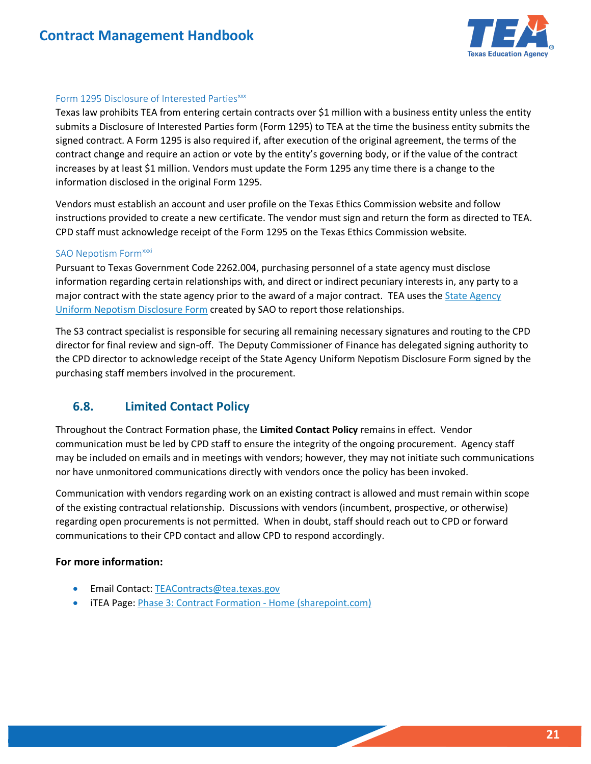

### Form 1295 Disclosure of Interested Parties<sup>xxx</sup>

 submits a Disclosure of Interested Parties form (Form 1295) to TEA at the time the business entity submits the information disclosed in the original Form 1295. Texas law prohibits TEA from entering certain contracts over \$1 million with a business entity unless the entity signed contract. A Form 1295 is also required if, after execution of the original agreement, the terms of the contract change and require an action or vote by the entity's governing body, or if the value of the contract increases by at least \$1 million. Vendors must update the Form 1295 any time there is a change to the

 instructions provided to create a new certificate. The vendor must sign and return the form as directed to TEA. CPD staff must acknowledge receipt of the Form 1295 on the Texas Ethics Commission website. Vendors must establish an account and user profile on the Texas Ethics Commission website and follow

#### SAO Nepotism Form<sup>xxxi</sup>

Pursuant to Texas Government Code 2262.004, purchasing personnel of a state agency must disclose information regarding certain relationships with, and direct or indirect pecuniary interests in, any party to a major contract with the state agency prior to the award of a major contract. TEA uses the State Agency [Uniform Nepotism Disclosure Form](https://sao.texas.gov/Documents/Forms/NepotismDisclosureForm202x.pdf) created by SAO to report those relationships.

 director for final review and sign-off. The Deputy Commissioner of Finance has delegated signing authority to The S3 contract specialist is responsible for securing all remaining necessary signatures and routing to the CPD the CPD director to acknowledge receipt of the State Agency Uniform Nepotism Disclosure Form signed by the purchasing staff members involved in the procurement.

### <span id="page-20-0"></span>**6.8. Limited Contact Policy**

 Throughout the Contract Formation phase, the **Limited Contact Policy** remains in effect. Vendor nor have unmonitored communications directly with vendors once the policy has been invoked. communication must be led by CPD staff to ensure the integrity of the ongoing procurement. Agency staff may be included on emails and in meetings with vendors; however, they may not initiate such communications

Communication with vendors regarding work on an existing contract is allowed and must remain within scope of the existing contractual relationship. Discussions with vendors (incumbent, prospective, or otherwise) regarding open procurements is not permitted. When in doubt, staff should reach out to CPD or forward communications to their CPD contact and allow CPD to respond accordingly.

### **For more information:**

- **•** Email Contact: TEAContracts@tea.texas.gov
- iTEA Page[: Phase 3: Contract Formation -](https://texasedu.sharepoint.com/sites/itea/cgfa/contractsandpurchasing/contractformation/SitePages/Home.aspx) Home (sharepoint.com)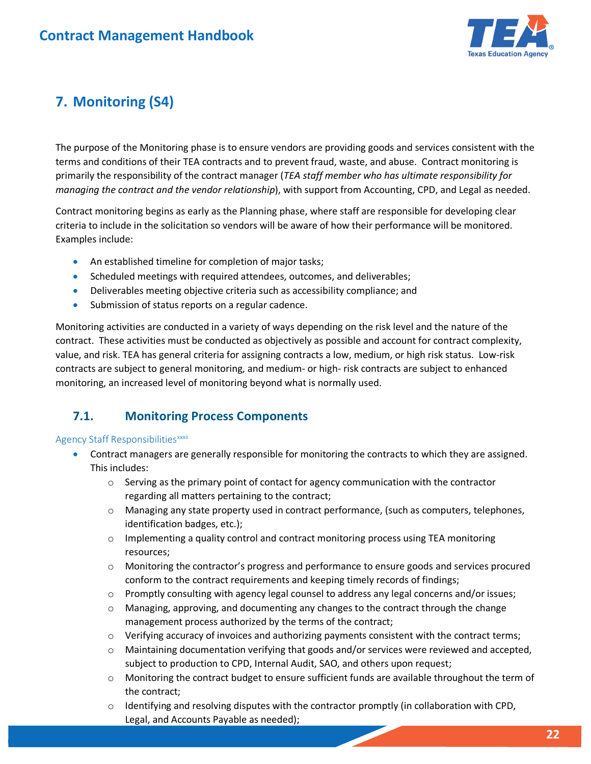

# <span id="page-21-0"></span> **7. Monitoring (S4)**

 terms and conditions of their TEA contracts and to prevent fraud, waste, and abuse. Contract monitoring is  *managing the contract and the vendor relationship*), with support from Accounting, CPD, and Legal as needed. The purpose of the Monitoring phase is to ensure vendors are providing goods and services consistent with the primarily the responsibility of the contract manager (*TEA staff member who has ultimate responsibility for* 

criteria to include in the solicitation so vendors will be aware of how their performance will be monitored.<br>Examples include: Contract monitoring begins as early as the Planning phase, where staff are responsible for developing clear

- An established timeline for completion of major tasks;
- Scheduled meetings with required attendees, outcomes, and deliverables;
- Deliverables meeting objective criteria such as accessibility compliance; and
- Submission of status reports on a regular cadence.

 contract. These activities must be conducted as objectively as possible and account for contract complexity, value, and risk. TEA has general criteria for assigning contracts a low, medium, or high risk status. Low-risk contracts are subject to general monitoring, and medium- or high- risk contracts are subject to enhanced Monitoring activities are conducted in a variety of ways depending on the risk level and the nature of the monitoring, an increased level of monitoring beyond what is normally used.

### <span id="page-21-1"></span>**7.1. Monitoring Process Components**

### AgencyStaff Responsibilities<sup>xxxii</sup>

- • Contract managers are generally responsible for monitoring the contracts to which they are assigned. This includes:
	- o Serving as the primary point of contact for agency communication with the contractor regarding all matters pertaining to the contract;
	- o Managing any state property used in contract performance, (such as computers, telephones, identification badges, etc.);
	- $\circ$  Implementing a quality control and contract monitoring process using TEA monitoring resources;
	- o Monitoring the contractor's progress and performance to ensure goods and services procured conform to the contract requirements and keeping timely records of findings;
	- o Promptly consulting with agency legal counsel to address any legal concerns and/or issues;
	- o Managing, approving, and documenting any changes to the contract through the change management process authorized by the terms of the contract;
	- o Verifying accuracy of invoices and authorizing payments consistent with the contract terms;
	- o Maintaining documentation verifying that goods and/or services were reviewed and accepted, subject to production to CPD, Internal Audit, SAO, and others upon request;
	- o Monitoring the contract budget to ensure sufficient funds are available throughout the term of the contract;
	- $\circ$  Identifying and resolving disputes with the contractor promptly (in collaboration with CPD, Legal, and Accounts Payable as needed);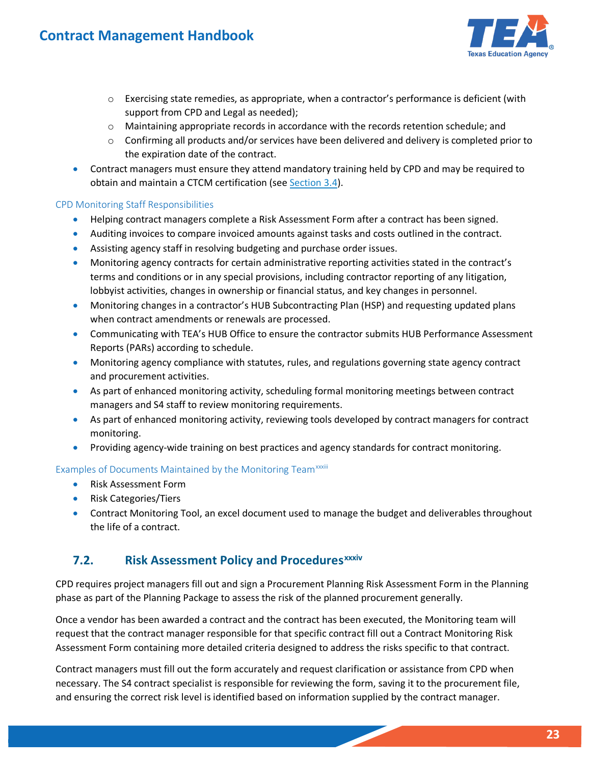

- $\circ$  Exercising state remedies, as appropriate, when a contractor's performance is deficient (with support from CPD and Legal as needed);
- o Maintaining appropriate records in accordance with the records retention schedule; and
- o Confirming all products and/or services have been delivered and delivery is completed prior to the expiration date of the contract.
- Contract managers must ensure they attend mandatory training held by CPD and may be required to obtain and maintain a CTCM certification (see [Section 3.4\)](#page-5-1).

### CPD Monitoring Staff Responsibilities

- Helping contract managers complete a Risk Assessment Form after a contract has been signed.
- Auditing invoices to compare invoiced amounts against tasks and costs outlined in the contract.
- Assisting agency staff in resolving budgeting and purchase order issues.
- Monitoring agency contracts for certain administrative reporting activities stated in the contract's terms and conditions or in any special provisions, including contractor reporting of any litigation, lobbyist activities, changes in ownership or financial status, and key changes in personnel.
- Monitoring changes in a contractor's HUB Subcontracting Plan (HSP) and requesting updated plans when contract amendments or renewals are processed.
- Communicating with TEA's HUB Office to ensure the contractor submits HUB Performance Assessment Reports (PARs) according to schedule.
- Monitoring agency compliance with statutes, rules, and regulations governing state agency contract and procurement activities.
- As part of enhanced monitoring activity, scheduling formal monitoring meetings between contract managers and S4 staff to review monitoring requirements.
- As part of enhanced monitoring activity, reviewing tools developed by contract managers for contract monitoring.
- Providing agency-wide training on best practices and agency standards for contract monitoring.

### Examplesof Documents Maintained by the Monitoring Team<sup>xxxiii</sup>

- Risk Assessment Form
- Risk Categories/Tiers
- • Contract Monitoring Tool, an excel document used to manage the budget and deliverables throughout the life of a contract.

### <span id="page-22-0"></span>**7.2.**Risk Assessment Policy and Procedures<sup>xxxiv</sup>

phase as part of the Planning Package to assess the risk of the planned procurement generally. CPD requires project managers fill out and sign a Procurement Planning Risk Assessment Form in the Planning

 Assessment Form containing more detailed criteria designed to address the risks specific to that contract. Once a vendor has been awarded a contract and the contract has been executed, the Monitoring team will request that the contract manager responsible for that specific contract fill out a Contract Monitoring Risk

 and ensuring the correct risk level is identified based on information supplied by the contract manager. Contract managers must fill out the form accurately and request clarification or assistance from CPD when necessary. The S4 contract specialist is responsible for reviewing the form, saving it to the procurement file,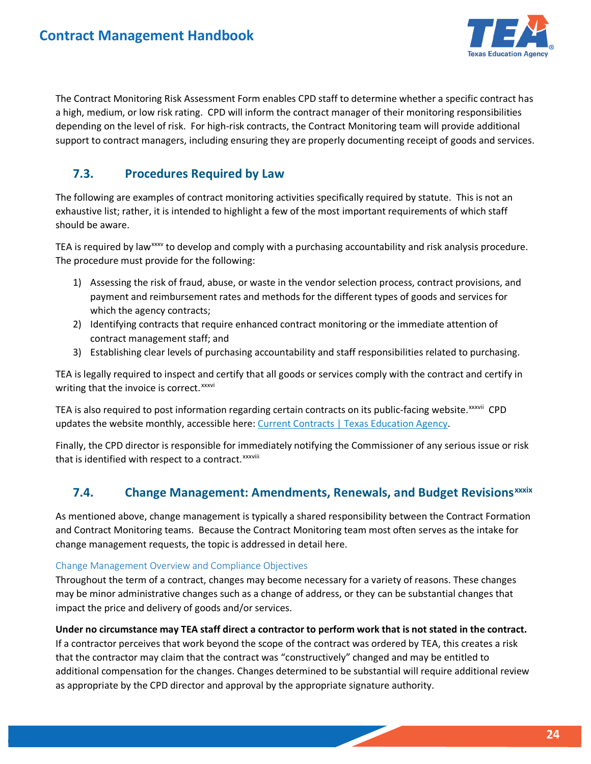

 The Contract Monitoring Risk Assessment Form enables CPD staff to determine whether a specific contract has a high, medium, or low risk rating. CPD will inform the contract manager of their monitoring responsibilities depending on the level of risk. For high-risk contracts, the Contract Monitoring team will provide additional support to contract managers, including ensuring they are properly documenting receipt of goods and services.

### <span id="page-23-0"></span>**7.3. Procedures Required by Law**

 exhaustive list; rather, it is intended to highlight a few of the most important requirements of which staff The following are examples of contract monitoring activities specifically required by statute. This is not an should be aware.

TEA is required by law<sup>xxxv</sup> to develop and comply with a purchasing accountability and risk analysis procedure. The procedure must provide for the following:

- 1) Assessing the risk of fraud, abuse, or waste in the vendor selection process, contract provisions, and payment and reimbursement rates and methods for the different types of goods and services for which the agency contracts;
- 2) Identifying contracts that require enhanced contract monitoring or the immediate attention of contract management staff; and
- 3) Establishing clear levels of purchasing accountability and staff responsibilities related to purchasing.

TEA is legally required to inspect and certify that all goods or services comply with the contract and certify in writingthat the invoice is correct. XXXVI

TEAis also required to post information regarding certain contracts on its public-facing website.<sup>xxxvii</sup> CPD updates the website monthly, accessible here: [Current Contracts | Texas Education Agency.](https://tea.texas.gov/about-tea/agency-finances/contracts-and-purchasing/current-contracts)

Finally, the CPD director is responsible for immediately notifying the Commissioner of any serious issue or risk thatis identified with respect to a contract.<sup>xxxviii</sup>

### <span id="page-23-1"></span>**7.4.**Change Management: Amendments, Renewals, and Budget Revisions<sup>xxxix</sup>

As mentioned above, change management is typically a shared responsibility between the Contract Formation and Contract Monitoring teams. Because the Contract Monitoring team most often serves as the intake for change management requests, the topic is addressed in detail here.

### Change Management Overview and Compliance Objectives

 impact the price and delivery of goods and/or services. Throughout the term of a contract, changes may become necessary for a variety of reasons. These changes may be minor administrative changes such as a change of address, or they can be substantial changes that

 If a contractor perceives that work beyond the scope of the contract was ordered by TEA, this creates a risk **Under no circumstance may TEA staff direct a contractor to perform work that is not stated in the contract.**  that the contractor may claim that the contract was "constructively" changed and may be entitled to additional compensation for the changes. Changes determined to be substantial will require additional review as appropriate by the CPD director and approval by the appropriate signature authority.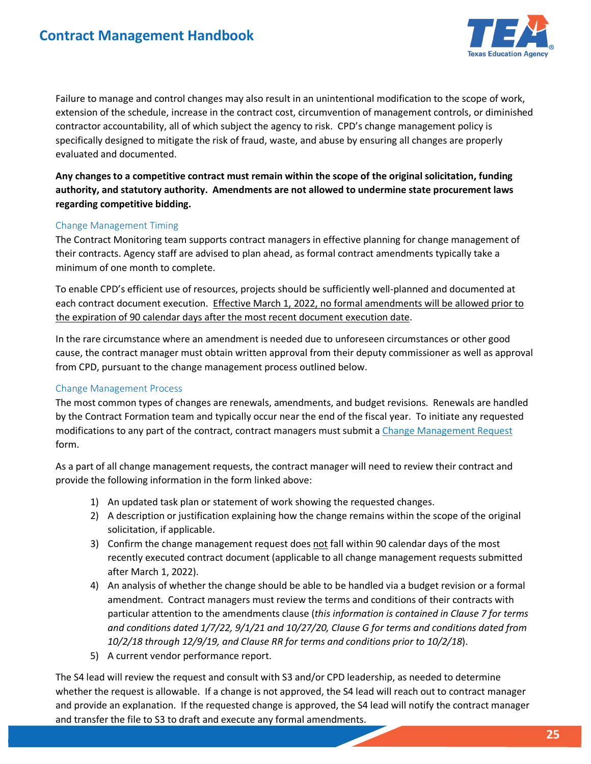## **Contract Management Handbook**



 Failure to manage and control changes may also result in an unintentional modification to the scope of work, extension of the schedule, increase in the contract cost, circumvention of management controls, or diminished contractor accountability, all of which subject the agency to risk. CPD's change management policy is specifically designed to mitigate the risk of fraud, waste, and abuse by ensuring all changes are properly evaluated and documented.

 **authority, and statutory authority. Amendments are not allowed to undermine state procurement laws Any changes to a competitive contract must remain within the scope of the original solicitation, funding regarding competitive bidding.** 

#### Change Management Timing

The Contract Monitoring team supports contract managers in effective planning for change management of their contracts. Agency staff are advised to plan ahead, as formal contract amendments typically take a minimum of one month to complete.

each contract document execution. Effective March 1, 2022, no formal amendments will be allowed prior to the expiration of 90 calendar days after the most recent document execution date. To enable CPD's efficient use of resources, projects should be sufficiently well-planned and documented at

In the rare circumstance where an amendment is needed due to unforeseen circumstances or other good cause, the contract manager must obtain written approval from their deputy commissioner as well as approval from CPD, pursuant to the change management process outlined below.

#### Change Management Process

 by the Contract Formation team and typically occur near the end of the fiscal year. To initiate any requested The most common types of changes are renewals, amendments, and budget revisions. Renewals are handled modifications to any part of the contract, contract managers must submit a Change Management Request form.

As a part of all change management requests, the contract manager will need to review their contract and provide the following information in the form linked above:

- 1) An updated task plan or statement of work showing the requested changes.
- 2) A description or justification explaining how the change remains within the scope of the original solicitation, if applicable.
- after March 1, 2022). 3) Confirm the change management request does not fall within 90 calendar days of the most recently executed contract document (applicable to all change management requests submitted
- 4) An analysis of whether the change should be able to be handled via a budget revision or a formal amendment. Contract managers must review the terms and conditions of their contracts with particular attention to the amendments clause (*this information is contained in Clause 7 for terms and conditions dated 1/7/22, 9/1/21 and 10/27/20, Clause G for terms and conditions dated from 10/2/18 through 12/9/19, and Clause RR for terms and conditions prior to 10/2/18*).
- 5) A current vendor performance report.

 and provide an explanation. If the requested change is approved, the S4 lead will notify the contract manager and transfer the file to S3 to draft and execute any formal amendments. The S4 lead will review the request and consult with S3 and/or CPD leadership, as needed to determine whether the request is allowable. If a change is not approved, the S4 lead will reach out to contract manager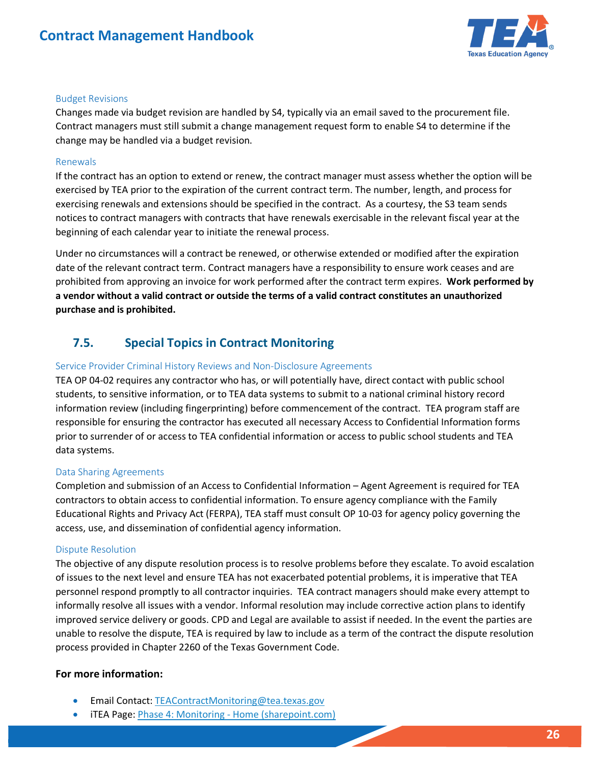## **Contract Management Handbook**



#### Budget Revisions

Changes made via budget revision are handled by S4, typically via an email saved to the procurement file. change may be handled via a budget revision. Contract managers must still submit a change management request form to enable S4 to determine if the

#### Renewals

 If the contract has an option to extend or renew, the contract manager must assess whether the option will be exercising renewals and extensions should be specified in the contract. As a courtesy, the S3 team sends exercised by TEA prior to the expiration of the current contract term. The number, length, and process for notices to contract managers with contracts that have renewals exercisable in the relevant fiscal year at the beginning of each calendar year to initiate the renewal process.

 prohibited from approving an invoice for work performed after the contract term expires. **Work performed by**  Under no circumstances will a contract be renewed, or otherwise extended or modified after the expiration date of the relevant contract term. Contract managers have a responsibility to ensure work ceases and are **a vendor without a valid contract or outside the terms of a valid contract constitutes an unauthorized purchase and is prohibited.** 

### <span id="page-25-0"></span>**7.5. Special Topics in Contract Monitoring**

#### Service Provider Criminal History Reviews and Non-Disclosure Agreements

TEA OP 04-02 requires any contractor who has, or will potentially have, direct contact with public school students, to sensitive information, or to TEA data systems to submit to a national criminal history record information review (including fingerprinting) before commencement of the contract. TEA program staff are responsible for ensuring the contractor has executed all necessary Access to Confidential Information forms prior to surrender of or access to TEA confidential information or access to public school students and TEA data systems.

#### Data Sharing Agreements

Completion and submission of an Access to Confidential Information – Agent Agreement is required for TEA contractors to obtain access to confidential information. To ensure agency compliance with the Family Educational Rights and Privacy Act (FERPA), TEA staff must consult OP 10-03 for agency policy governing the access, use, and dissemination of confidential agency information.

#### Dispute Resolution

 personnel respond promptly to all contractor inquiries. TEA contract managers should make every attempt to improved service delivery or goods. CPD and Legal are available to assist if needed. In the event the parties are The objective of any dispute resolution process is to resolve problems before they escalate. To avoid escalation of issues to the next level and ensure TEA has not exacerbated potential problems, it is imperative that TEA informally resolve all issues with a vendor. Informal resolution may include corrective action plans to identify unable to resolve the dispute, TEA is required by law to include as a term of the contract the dispute resolution process provided in Chapter 2260 of the Texas Government Code.

### **For more information:**

- Email Contact: TEAContractMonitoring@tea.texas.gov
- iTEA Page: *Phase 4: Monitoring Home (sharepoint.com)*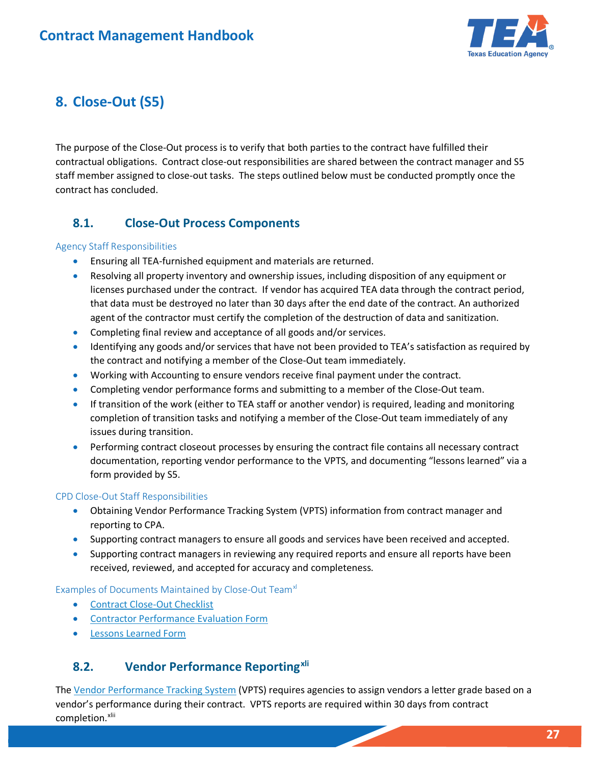

## <span id="page-26-0"></span> **8. Close-Out (S5)**

 The purpose of the Close-Out process is to verify that both parties to the contract have fulfilled their contractual obligations. Contract close-out responsibilities are shared between the contract manager and S5 staff member assigned to close-out tasks. The steps outlined below must be conducted promptly once the contract has concluded.

### <span id="page-26-1"></span>**8.1. Close-Out Process Components**

### Agency Staff Responsibilities

- Ensuring all TEA-furnished equipment and materials are returned.
- Resolving all property inventory and ownership issues, including disposition of any equipment or licenses purchased under the contract. If vendor has acquired TEA data through the contract period, that data must be destroyed no later than 30 days after the end date of the contract. An authorized agent of the contractor must certify the completion of the destruction of data and sanitization.
- Completing final review and acceptance of all goods and/or services.
- Identifying any goods and/or services that have not been provided to TEA's satisfaction as required by the contract and notifying a member of the Close-Out team immediately.
- Working with Accounting to ensure vendors receive final payment under the contract.
- Completing vendor performance forms and submitting to a member of the Close-Out team.
- If transition of the work (either to TEA staff or another vendor) is required, leading and monitoring completion of transition tasks and notifying a member of the Close-Out team immediately of any issues during transition.
- Performing contract closeout processes by ensuring the contract file contains all necessary contract documentation, reporting vendor performance to the VPTS, and documenting "lessons learned" via a form provided by S5.

### CPD Close-Out Staff Responsibilities

- Obtaining Vendor Performance Tracking System (VPTS) information from contract manager and reporting to CPA.
- Supporting contract managers to ensure all goods and services have been received and accepted.
- Supporting contract managers in reviewing any required reports and ensure all reports have been received, reviewed, and accepted for accuracy and completeness.

### Examples of Documents Maintained by Close-Out Team<sup>xl</sup>

- Contract Close-Out Checklist
- **Contractor Performance Evaluation Form**
- [Lessons Learned Form](https://app.smartsheet.com/b/form/ccdc452c9e404ff29c8c7d937cab8b2f)

### <span id="page-26-2"></span>**8.2. Vendor Performance Reporting[xli](#page-31-14)**

The <u>Vendor Performance Tracking System</u> (VPTS) requires agencies to assign vendors a letter grade based on a vendor's performance during their contract. VPTS reports are required within 30 days from contract completion.<sup>xlii</sup>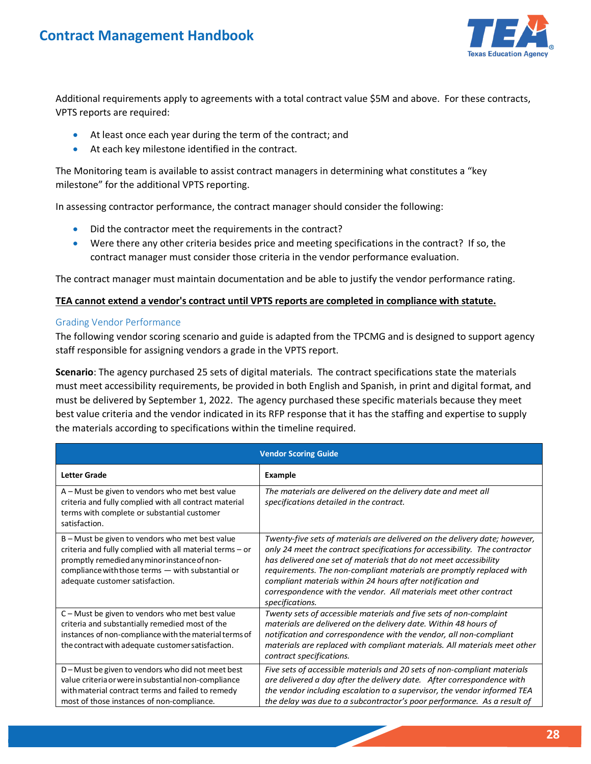

 VPTS reports are required: Additional requirements apply to agreements with a total contract value \$5M and above. For these contracts,

- At least once each year during the term of the contract; and
- At each key milestone identified in the contract.

 The Monitoring team is available to assist contract managers in determining what constitutes a "key milestone" for the additional VPTS reporting.

In assessing contractor performance, the contract manager should consider the following:

- Did the contractor meet the requirements in the contract?
- Were there any other criteria besides price and meeting specifications in the contract? If so, the contract manager must consider those criteria in the vendor performance evaluation.

The contract manager must maintain documentation and be able to justify the vendor performance rating.

#### **TEA cannot extend a vendor's contract until VPTS reports are completed in compliance with statute.**

#### Grading Vendor Performance

The following vendor scoring scenario and guide is adapted from the TPCMG and is designed to support agency staff responsible for assigning vendors a grade in the VPTS report.

 **Scenario**: The agency purchased 25 sets of digital materials. The contract specifications state the materials must meet accessibility requirements, be provided in both English and Spanish, in print and digital format, and must be delivered by September 1, 2022. The agency purchased these specific materials because they meet best value criteria and the vendor indicated in its RFP response that it has the staffing and expertise to supply the materials according to specifications within the timeline required.

| <b>Vendor Scoring Guide</b>                                                                                                                                                                                                                         |                                                                                                                                                                                                                                                                                                                                                                                                                                                             |  |  |  |
|-----------------------------------------------------------------------------------------------------------------------------------------------------------------------------------------------------------------------------------------------------|-------------------------------------------------------------------------------------------------------------------------------------------------------------------------------------------------------------------------------------------------------------------------------------------------------------------------------------------------------------------------------------------------------------------------------------------------------------|--|--|--|
| <b>Letter Grade</b>                                                                                                                                                                                                                                 | <b>Example</b>                                                                                                                                                                                                                                                                                                                                                                                                                                              |  |  |  |
| A - Must be given to vendors who met best value<br>criteria and fully complied with all contract material<br>terms with complete or substantial customer<br>satisfaction.                                                                           | The materials are delivered on the delivery date and meet all<br>specifications detailed in the contract.                                                                                                                                                                                                                                                                                                                                                   |  |  |  |
| B - Must be given to vendors who met best value<br>criteria and fully complied with all material terms - or<br>promptly remedied any minor instance of non-<br>compliance with those terms - with substantial or<br>adequate customer satisfaction. | Twenty-five sets of materials are delivered on the delivery date; however,<br>only 24 meet the contract specifications for accessibility. The contractor<br>has delivered one set of materials that do not meet accessibility<br>requirements. The non-compliant materials are promptly replaced with<br>compliant materials within 24 hours after notification and<br>correspondence with the vendor. All materials meet other contract<br>specifications. |  |  |  |
| C - Must be given to vendors who met best value<br>criteria and substantially remedied most of the<br>instances of non-compliance with the material terms of<br>the contract with adequate customer satisfaction.                                   | Twenty sets of accessible materials and five sets of non-complaint<br>materials are delivered on the delivery date. Within 48 hours of<br>notification and correspondence with the vendor, all non-compliant<br>materials are replaced with compliant materials. All materials meet other<br>contract specifications.                                                                                                                                       |  |  |  |
| D-Must be given to vendors who did not meet best<br>value criteria or were in substantial non-compliance<br>with material contract terms and failed to remedy<br>most of those instances of non-compliance.                                         | Five sets of accessible materials and 20 sets of non-compliant materials<br>are delivered a day after the delivery date. After correspondence with<br>the vendor including escalation to a supervisor, the vendor informed TEA<br>the delay was due to a subcontractor's poor performance. As a result of                                                                                                                                                   |  |  |  |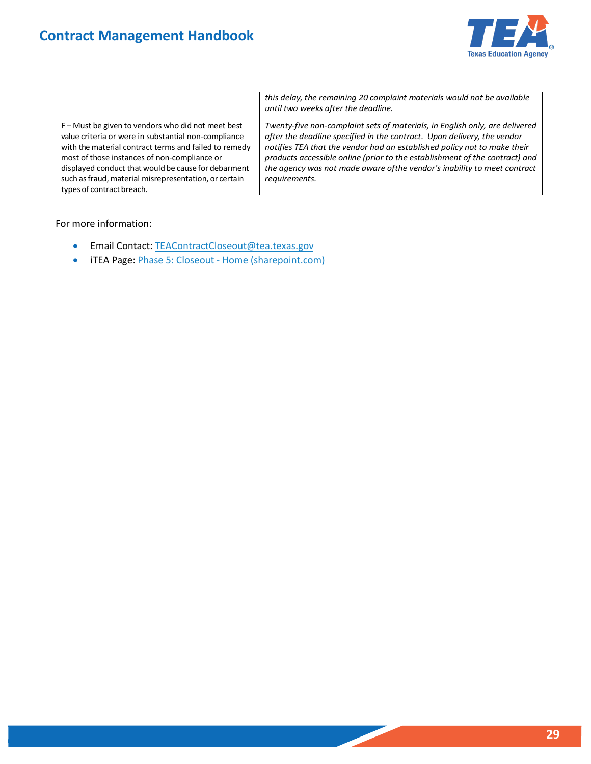

|                                                                                                                                                                                                                                                                                                                                                                  | this delay, the remaining 20 complaint materials would not be available<br>until two weeks after the deadline.                                                                                                                                                                                                                                                                                                 |
|------------------------------------------------------------------------------------------------------------------------------------------------------------------------------------------------------------------------------------------------------------------------------------------------------------------------------------------------------------------|----------------------------------------------------------------------------------------------------------------------------------------------------------------------------------------------------------------------------------------------------------------------------------------------------------------------------------------------------------------------------------------------------------------|
| F – Must be given to vendors who did not meet best<br>value criteria or were in substantial non-compliance<br>with the material contract terms and failed to remedy<br>most of those instances of non-compliance or<br>displayed conduct that would be cause for debarment<br>such as fraud, material misrepresentation, or certain<br>types of contract breach. | Twenty-five non-complaint sets of materials, in English only, are delivered<br>after the deadline specified in the contract. Upon delivery, the vendor<br>notifies TEA that the vendor had an established policy not to make their<br>products accessible online (prior to the establishment of the contract) and<br>the agency was not made aware of the vendor's inability to meet contract<br>requirements. |

For more information:

- Email Contact[: TEAContractCloseout@tea.texas.gov](mailto:TEAContractCloseout@tea.texas.gov)
- iTEA Page: *Phase 5: Closeout Home (sharepoint.com)*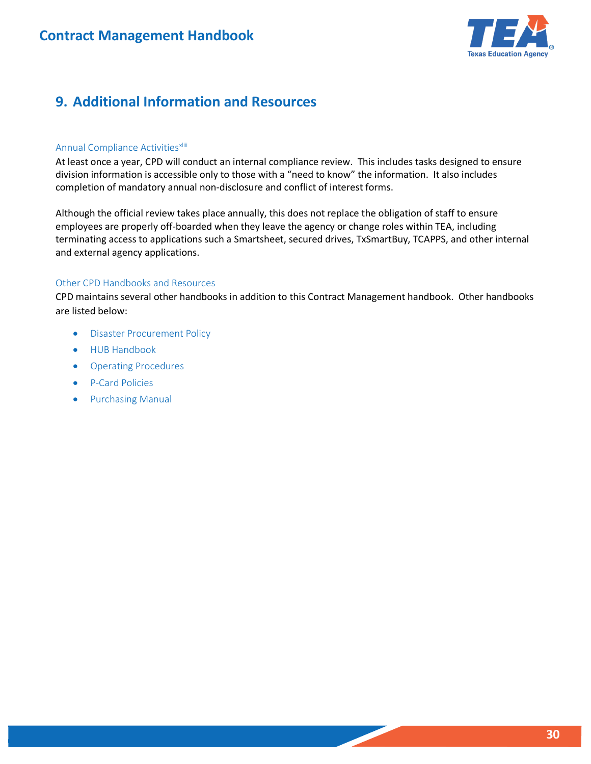

## <span id="page-29-0"></span> **9. Additional Information and Resources**

### Annual Compliance Activities<sup>xliii</sup>

At least once a year, CPD will conduct an internal compliance review. This includes tasks designed to ensure division information is accessible only to those with a "need to know" the information. It also includes completion of mandatory annual non-disclosure and conflict of interest forms.

 terminating access to applications such a Smartsheet, secured drives, TxSmartBuy, TCAPPS, and other internal and external agency applications. Although the official review takes place annually, this does not replace the obligation of staff to ensure employees are properly off-boarded when they leave the agency or change roles within TEA, including

#### Other CPD Handbooks and Resources

CPD maintains several other handbooks in addition to this Contract Management handbook. Other handbooks are listed below:

- Disaster Procurement Policy
- HUB Handbook
- Operating Procedures
- P-Card Policies
- Purchasing Manual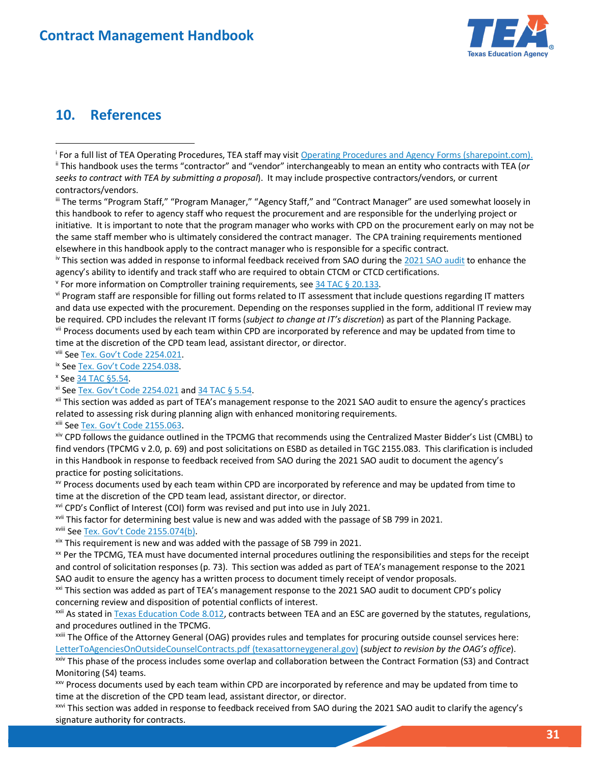

## <span id="page-30-0"></span>**10. References**

<span id="page-30-2"></span><sup>i</sup> For a full list of TEA Operating Procedures, TEA staff may visit <u>Operating Procedures and Agency Forms (sharepoint.com).</u><br>" This handbook uses the terms "contractor" and "vendor" interchangeably to mean an entity who *seeks to contract with TEA by submitting a proposal*). It may include prospective contractors/vendors, or current contractors/vendors.

<span id="page-30-3"></span> initiative. It is important to note that the program manager who works with CPD on the procurement early on may not be the same staff member who is ultimately considered the contract manager. The CPA training requirements mentioned elsewhere in this handbook apply to the contract manager who is responsible for a specific contract. iii The terms "Program Staff," "Program Manager," "Agency Staff," and "Contract Manager" are used somewhat loosely in this handbook to refer to agency staff who request the procurement and are responsible for the underlying project or

<span id="page-30-4"></span>elsewhere in this handbook apply to the contract manager who is responsible for a specific contract.<br><sup>iv</sup> This section was added in response to informal feedback received from SAO during the <u>2021 SAO audit</u> to enhance the agency's ability to identify and track staff who are required to obtain CTCM or CTCD certifications. agency's ability to identify and track staff who are required to obtain CTCM or CTCD certifications.<br><sup>v</sup> For more information on Comptroller training requirements, see <u>34 TAC § 20.133</u>.<br><sup>vi</sup> Program staff are responsible

<span id="page-30-6"></span> and data use expected with the procurement. Depending on the responses supplied in the form, additional IT review may be required. CPD includes the relevant IT forms (subject to change at IT's discretion) as part of the Planning Package.<br>vii Process documents used by each team within CPD are incorporated by reference and may be updated fr

<span id="page-30-8"></span>

<span id="page-30-9"></span>

<span id="page-30-10"></span>

<span id="page-30-12"></span><span id="page-30-11"></span>

<span id="page-30-7"></span>time at the discretion of the CPD team lead, assistant director, or director.<br><sup>vii</sup> See <u>Tex. Gov't Code 2254.021</u>.<br><sup>ix</sup> See <u>Tex. Gov't Code 2254.038</u>.<br><sup>xi</sup> See <u>Tex. Gov't Code 2254.021</u> and <u>34 TAC § 5.54</u>.<br><sup>xi</sup> This se related to assessing risk during planning align with enhanced monitoring requirements.<br><sup>xiii</sup> See <u>Tex. Gov't Code 2155.063</u>.<br><sup>xiv</sup> CPD follows the guidance outlined in the TPCMG that recommends using the Centralized Maste

<span id="page-30-13"></span>

<span id="page-30-14"></span> find vendors (TPCMG v 2.0, p. 69) and post solicitations on ESBD as detailed in TGC 2155.083. This clarification is included in this Handbook in response to feedback received from SAO during the 2021 SAO audit to document the agency's practice for posting solicitations.

<span id="page-30-15"></span>xv Process documents used by each team within CPD are incorporated by reference and may be updated from time to

<span id="page-30-16"></span><sup>xvi</sup> CPD's Conflict of Interest (COI) form was revised and put into use in July 2021.

<span id="page-30-17"></span><sup>xvii</sup> This factor for determining best value is new and was added with the passage of SB 799 in 2021.

<span id="page-30-18"></span>

<span id="page-30-20"></span><span id="page-30-19"></span>

time at the discretion of the CPD team lead, assistant director, or director.<br><sup>xvi</sup> CPD's Conflict of Interest (COI) form was revised and put into use in July 2021.<br><sup>xvii</sup> This factor for determining best value is new and and control of solicitation responses (p. 73). This section was added as part of TEA's management response to the 2021 SAO audit to ensure the agency has a written process to document timely receipt of vendor proposals.

<span id="page-30-21"></span>SAO audit to ensure the agency has a written process to document timely receipt of vendor proposals.<br><sup>xxi</sup> This section was added as part of TEA's management response to the 2021 SAO audit to document CPD's policy concerning review and disposition of potential conflicts of interest.

<span id="page-30-22"></span><sup>xxii</sup> As stated i[n Texas Education Code 8.012,](https://statutes.capitol.texas.gov/Docs/ED/htm/ED.8.htm) contracts between TEA and an ESC are governed by the statutes, regulations, and procedures outlined in the TPCMG.

<span id="page-30-23"></span>xxiii The Office of the Attorney General (OAG) provides rules and templates for procuring outside counsel services here:

<span id="page-30-24"></span>LetterToAgenciesOnOutsideCounselContracts.pdf (texasattorneygeneral.gov) (subject to revision by the OAG's office).<br><sup>xxiv</sup> This phase of the process includes some overlap and collaboration between the Contract Formation (S Monitoring (S4) teams.

<span id="page-30-25"></span><sup>XXV</sup> Process documents used by each team within CPD are incorporated by reference and may be updated from time to time at the discretion of the CPD team lead, assistant director, or director.<br>xxvi This section was added in response to feedback received from SAO during the 2021 SAO audit to clarify the agency's

<span id="page-30-26"></span>signature authority for contracts.

<span id="page-30-1"></span><sup>&</sup>lt;sup>i</sup> For a full list of TEA Operating Procedures, TEA staff may visit Operating Procedures and Agency Forms (sharepoint.com).

<span id="page-30-5"></span><sup>&</sup>lt;sup>v</sup> For more information on Comptroller training requirements, see 34 TAC § 20.133.